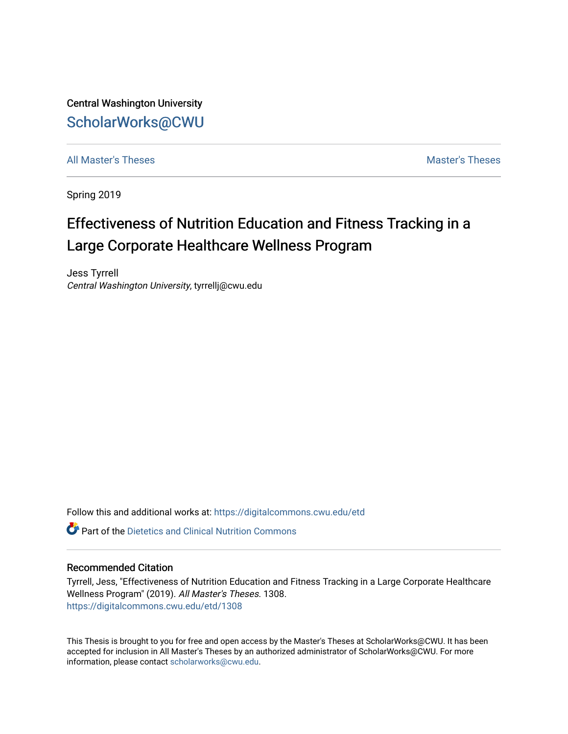Central Washington University [ScholarWorks@CWU](https://digitalcommons.cwu.edu/) 

[All Master's Theses](https://digitalcommons.cwu.edu/etd) and the set of the set of the set of the set of the set of the set of the set of the set of the set of the set of the set of the set of the set of the set of the set of the set of the set of the set of

Spring 2019

## Effectiveness of Nutrition Education and Fitness Tracking in a Large Corporate Healthcare Wellness Program

Jess Tyrrell Central Washington University, tyrrellj@cwu.edu

Follow this and additional works at: [https://digitalcommons.cwu.edu/etd](https://digitalcommons.cwu.edu/etd?utm_source=digitalcommons.cwu.edu%2Fetd%2F1308&utm_medium=PDF&utm_campaign=PDFCoverPages) 

 $\bullet$  Part of the Dietetics and Clinical Nutrition Commons

#### Recommended Citation

Tyrrell, Jess, "Effectiveness of Nutrition Education and Fitness Tracking in a Large Corporate Healthcare Wellness Program" (2019). All Master's Theses. 1308. [https://digitalcommons.cwu.edu/etd/1308](https://digitalcommons.cwu.edu/etd/1308?utm_source=digitalcommons.cwu.edu%2Fetd%2F1308&utm_medium=PDF&utm_campaign=PDFCoverPages)

This Thesis is brought to you for free and open access by the Master's Theses at ScholarWorks@CWU. It has been accepted for inclusion in All Master's Theses by an authorized administrator of ScholarWorks@CWU. For more information, please contact [scholarworks@cwu.edu.](mailto:scholarworks@cwu.edu)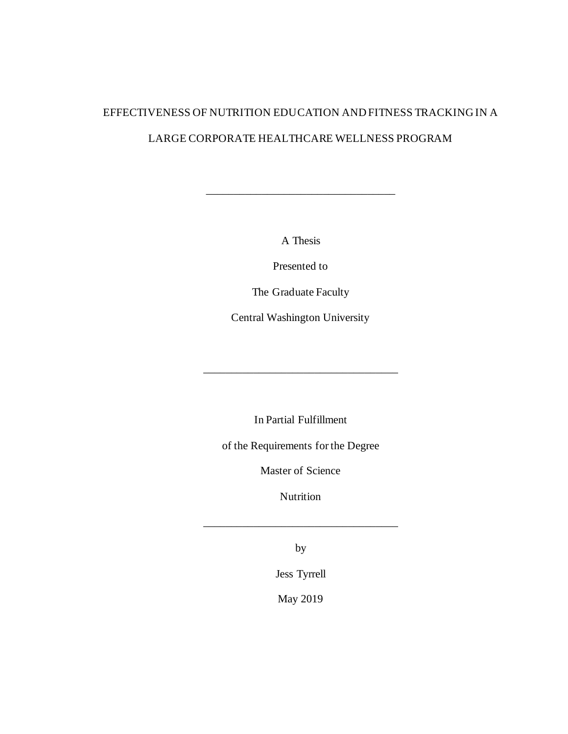# EFFECTIVENESS OF NUTRITION EDUCATION AND FITNESS TRACKING IN A LARGE CORPORATE HEALTHCARE WELLNESS PROGRAM

A Thesis

\_\_\_\_\_\_\_\_\_\_\_\_\_\_\_\_\_\_\_\_\_\_\_\_\_\_\_\_\_\_\_\_\_\_

Presented to

The Graduate Faculty

Central Washington University

In Partial Fulfillment

\_\_\_\_\_\_\_\_\_\_\_\_\_\_\_\_\_\_\_\_\_\_\_\_\_\_\_\_\_\_\_\_\_\_\_

of the Requirements for the Degree

Master of Science

Nutrition

\_\_\_\_\_\_\_\_\_\_\_\_\_\_\_\_\_\_\_\_\_\_\_\_\_\_\_\_\_\_\_\_\_\_\_

by

Jess Tyrrell

May 2019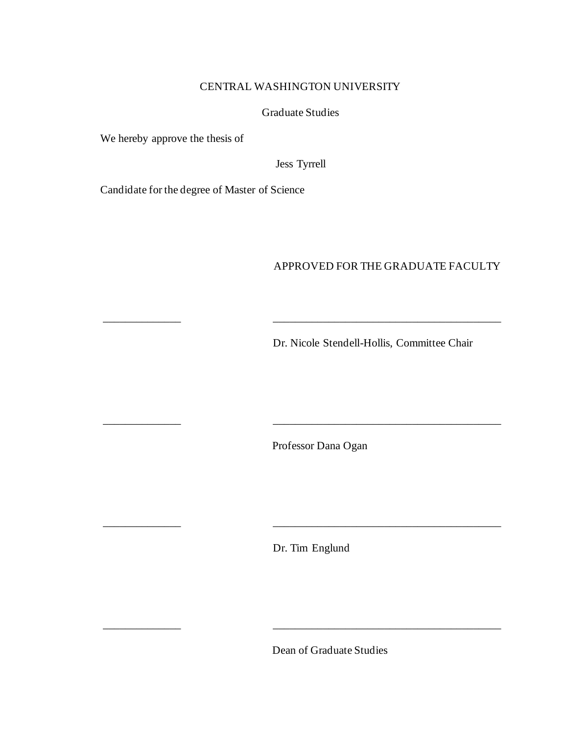## CENTRAL WASHINGTON UNIVERSITY

## Graduate Studies

We hereby approve the thesis of

Jess Tyrrell

\_\_\_\_\_\_\_\_\_\_\_\_\_\_ \_\_\_\_\_\_\_\_\_\_\_\_\_\_\_\_\_\_\_\_\_\_\_\_\_\_\_\_\_\_\_\_\_\_\_\_\_\_\_\_\_

Candidate for the degree of Master of Science

## APPROVED FOR THE GRADUATE FACULTY

Dr. Nicole Stendell-Hollis, Committee Chair

\_\_\_\_\_\_\_\_\_\_\_\_\_\_ \_\_\_\_\_\_\_\_\_\_\_\_\_\_\_\_\_\_\_\_\_\_\_\_\_\_\_\_\_\_\_\_\_\_\_\_\_\_\_\_\_

\_\_\_\_\_\_\_\_\_\_\_\_\_\_ \_\_\_\_\_\_\_\_\_\_\_\_\_\_\_\_\_\_\_\_\_\_\_\_\_\_\_\_\_\_\_\_\_\_\_\_\_\_\_\_\_

Professor Dana Ogan

Dr. Tim Englund

\_\_\_\_\_\_\_\_\_\_\_\_\_\_ \_\_\_\_\_\_\_\_\_\_\_\_\_\_\_\_\_\_\_\_\_\_\_\_\_\_\_\_\_\_\_\_\_\_\_\_\_\_\_\_\_

Dean of Graduate Studies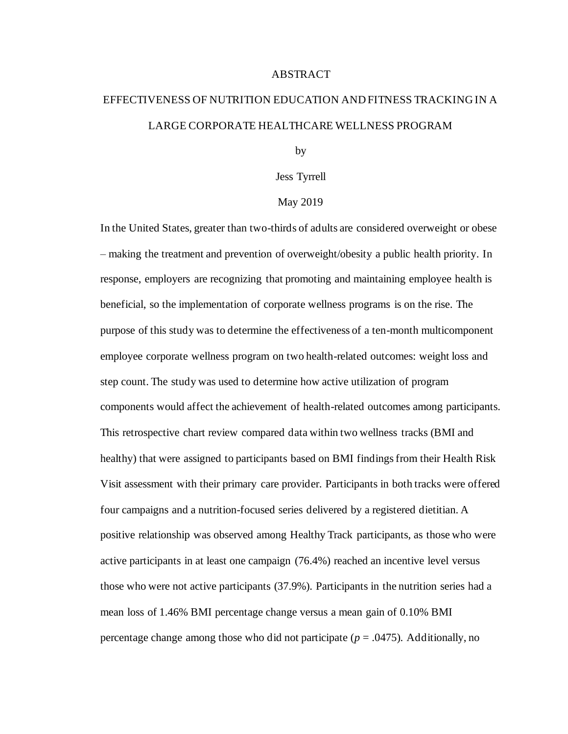#### ABSTRACT

## EFFECTIVENESS OF NUTRITION EDUCATION AND FITNESS TRACKING IN A LARGE CORPORATE HEALTHCARE WELLNESS PROGRAM

by

Jess Tyrrell

#### May 2019

In the United States, greater than two-thirds of adults are considered overweight or obese – making the treatment and prevention of overweight/obesity a public health priority. In response, employers are recognizing that promoting and maintaining employee health is beneficial, so the implementation of corporate wellness programs is on the rise. The purpose of this study was to determine the effectiveness of a ten-month multicomponent employee corporate wellness program on two health-related outcomes: weight loss and step count. The study was used to determine how active utilization of program components would affect the achievement of health-related outcomes among participants. This retrospective chart review compared data within two wellness tracks (BMI and healthy) that were assigned to participants based on BMI findings from their Health Risk Visit assessment with their primary care provider. Participants in both tracks were offered four campaigns and a nutrition-focused series delivered by a registered dietitian. A positive relationship was observed among Healthy Track participants, as those who were active participants in at least one campaign (76.4%) reached an incentive level versus those who were not active participants (37.9%). Participants in the nutrition series had a mean loss of 1.46% BMI percentage change versus a mean gain of 0.10% BMI percentage change among those who did not participate (*p* = .0475). Additionally, no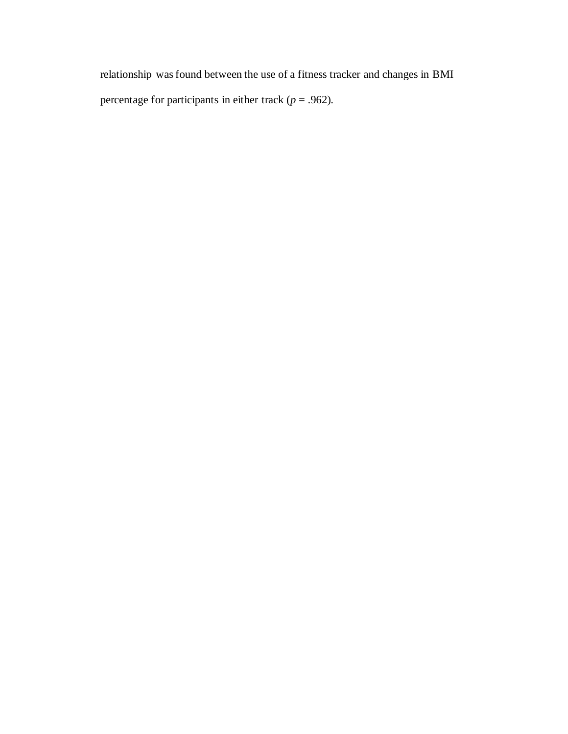relationship was found between the use of a fitness tracker and changes in BMI percentage for participants in either track ( $p = .962$ ).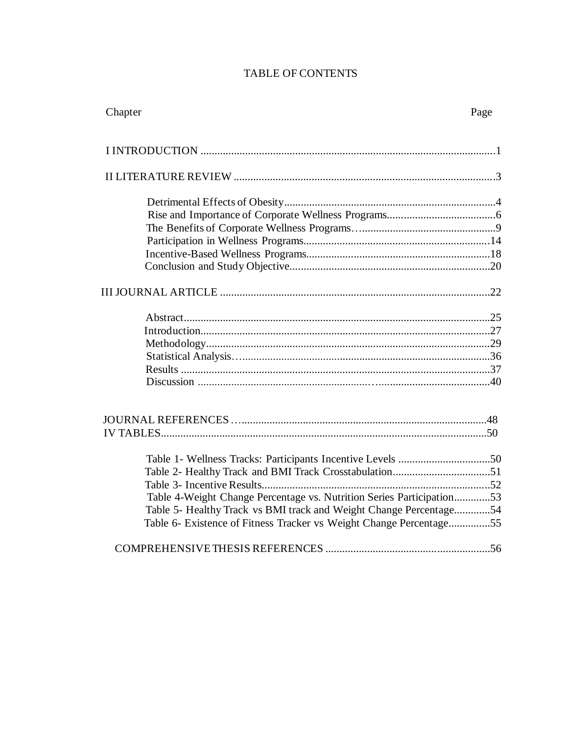## TABLE OF CONTENTS

| Chapter                                                               | Page |
|-----------------------------------------------------------------------|------|
|                                                                       |      |
|                                                                       |      |
|                                                                       |      |
|                                                                       |      |
|                                                                       |      |
|                                                                       |      |
|                                                                       |      |
|                                                                       |      |
|                                                                       |      |
|                                                                       |      |
|                                                                       |      |
|                                                                       |      |
|                                                                       |      |
|                                                                       |      |
|                                                                       |      |
|                                                                       |      |
|                                                                       |      |
|                                                                       |      |
|                                                                       |      |
|                                                                       |      |
|                                                                       |      |
|                                                                       |      |
|                                                                       |      |
|                                                                       |      |
| Table 4-Weight Change Percentage vs. Nutrition Series Participation53 |      |
| Table 5- Healthy Track vs BMI track and Weight Change Percentage54    |      |
| Table 6- Existence of Fitness Tracker vs Weight Change Percentage55   |      |
|                                                                       |      |
|                                                                       |      |
|                                                                       |      |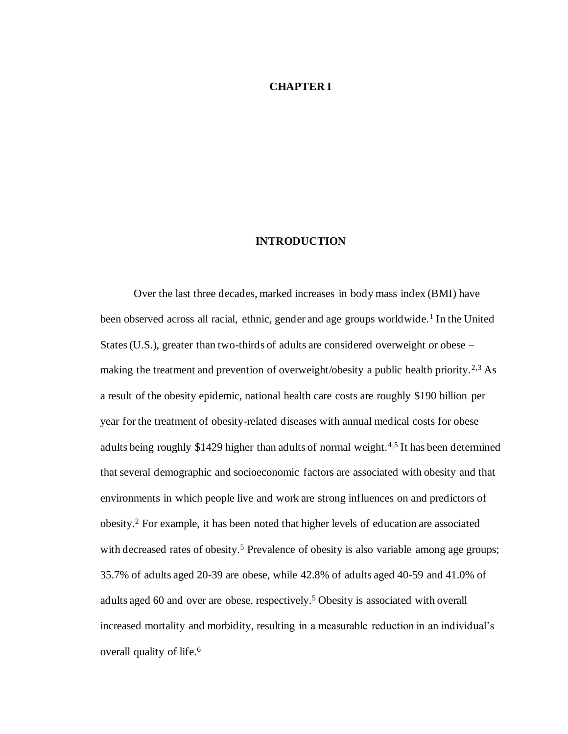#### **CHAPTER I**

#### **INTRODUCTION**

Over the last three decades, marked increases in body mass index (BMI) have been observed across all racial, ethnic, gender and age groups worldwide.<sup>1</sup> In the United States (U.S.), greater than two-thirds of adults are considered overweight or obese – making the treatment and prevention of overweight/obesity a public health priority.<sup>2,3</sup> As a result of the obesity epidemic, national health care costs are roughly \$190 billion per year for the treatment of obesity-related diseases with annual medical costs for obese adults being roughly \$1429 higher than adults of normal weight.<sup>4,5</sup> It has been determined that several demographic and socioeconomic factors are associated with obesity and that environments in which people live and work are strong influences on and predictors of obesity.<sup>2</sup> For example, it has been noted that higher levels of education are associated with decreased rates of obesity.<sup>5</sup> Prevalence of obesity is also variable among age groups; 35.7% of adults aged 20-39 are obese, while 42.8% of adults aged 40-59 and 41.0% of adults aged 60 and over are obese, respectively.<sup>5</sup>Obesity is associated with overall increased mortality and morbidity, resulting in a measurable reduction in an individual's overall quality of life.<sup>6</sup>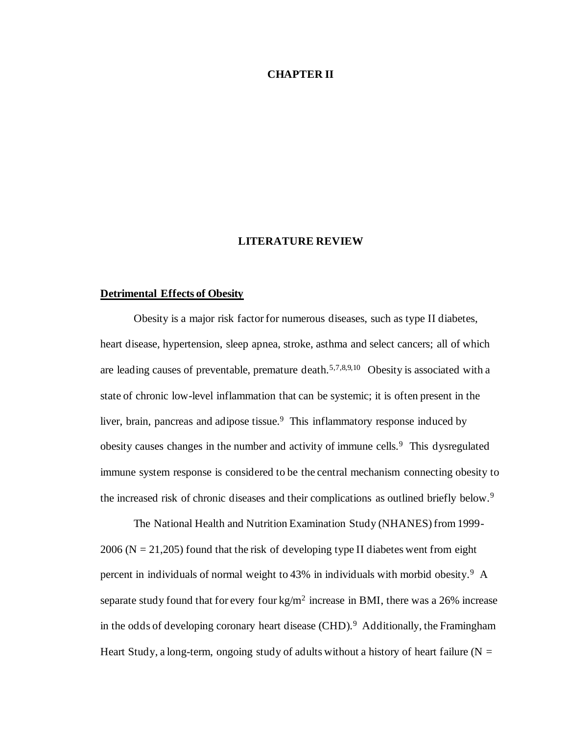#### **CHAPTER II**

#### **LITERATURE REVIEW**

#### **Detrimental Effects of Obesity**

Obesity is a major risk factor for numerous diseases, such as type II diabetes, heart disease, hypertension, sleep apnea, stroke, asthma and select cancers; all of which are leading causes of preventable, premature death.<sup>5,7,8,9,10</sup> Obesity is associated with a state of chronic low-level inflammation that can be systemic; it is often present in the liver, brain, pancreas and adipose tissue.<sup>9</sup> This inflammatory response induced by obesity causes changes in the number and activity of immune cells.<sup>9</sup> This dysregulated immune system response is considered to be the central mechanism connecting obesity to the increased risk of chronic diseases and their complications as outlined briefly below.<sup>9</sup>

The National Health and Nutrition Examination Study (NHANES) from 1999-  $2006$  (N = 21,205) found that the risk of developing type II diabetes went from eight percent in individuals of normal weight to 43% in individuals with morbid obesity.<sup>9</sup> A separate study found that for every four kg/m<sup>2</sup> increase in BMI, there was a 26% increase in the odds of developing coronary heart disease  $(CHD)$ .<sup>9</sup> Additionally, the Framingham Heart Study, a long-term, ongoing study of adults without a history of heart failure ( $N =$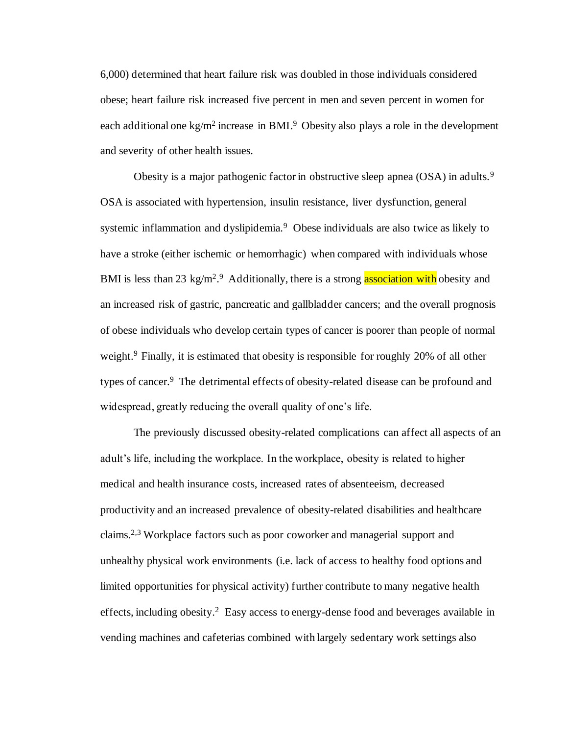6,000) determined that heart failure risk was doubled in those individuals considered obese; heart failure risk increased five percent in men and seven percent in women for each additional one kg/m<sup>2</sup> increase in BMI.<sup>9</sup> Obesity also plays a role in the development and severity of other health issues.

Obesity is a major pathogenic factor in obstructive sleep apnea (OSA) in adults.<sup>9</sup> OSA is associated with hypertension, insulin resistance, liver dysfunction, general systemic inflammation and dyslipidemia.<sup>9</sup> Obese individuals are also twice as likely to have a stroke (either ischemic or hemorrhagic) when compared with individuals whose BMI is less than 23 kg/m<sup>2</sup>.<sup>9</sup> Additionally, there is a strong **association with** obesity and an increased risk of gastric, pancreatic and gallbladder cancers; and the overall prognosis of obese individuals who develop certain types of cancer is poorer than people of normal weight.<sup>9</sup> Finally, it is estimated that obesity is responsible for roughly 20% of all other types of cancer.<sup>9</sup> The detrimental effects of obesity-related disease can be profound and widespread, greatly reducing the overall quality of one's life.

The previously discussed obesity-related complications can affect all aspects of an adult's life, including the workplace. In the workplace, obesity is related to higher medical and health insurance costs, increased rates of absenteeism, decreased productivity and an increased prevalence of obesity-related disabilities and healthcare claims.2,3 Workplace factors such as poor coworker and managerial support and unhealthy physical work environments (i.e. lack of access to healthy food options and limited opportunities for physical activity) further contribute to many negative health effects, including obesity.<sup>2</sup> Easy access to energy-dense food and beverages available in vending machines and cafeterias combined with largely sedentary work settings also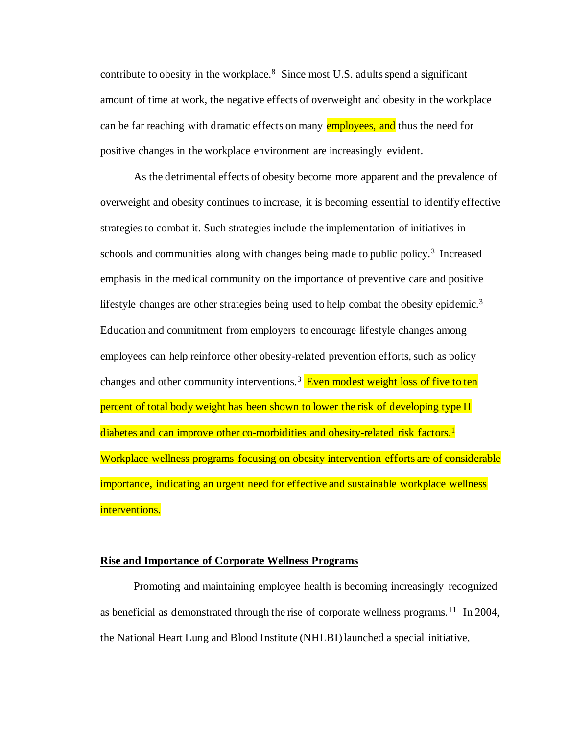contribute to obesity in the workplace. $8$  Since most U.S. adults spend a significant amount of time at work, the negative effects of overweight and obesity in the workplace can be far reaching with dramatic effects on many **employees, and** thus the need for positive changes in the workplace environment are increasingly evident.

As the detrimental effects of obesity become more apparent and the prevalence of overweight and obesity continues to increase, it is becoming essential to identify effective strategies to combat it. Such strategies include the implementation of initiatives in schools and communities along with changes being made to public policy.<sup>3</sup> Increased emphasis in the medical community on the importance of preventive care and positive lifestyle changes are other strategies being used to help combat the obesity epidemic.<sup>3</sup> Education and commitment from employers to encourage lifestyle changes among employees can help reinforce other obesity-related prevention efforts, such as policy changes and other community interventions.<sup>3</sup> Even modest weight loss of five to ten percent of total body weight has been shown to lower the risk of developing type II diabetes and can improve other co-morbidities and obesity-related risk factors.<sup>1</sup> Workplace wellness programs focusing on obesity intervention efforts are of considerable importance, indicating an urgent need for effective and sustainable workplace wellness interventions.

#### **Rise and Importance of Corporate Wellness Programs**

Promoting and maintaining employee health is becoming increasingly recognized as beneficial as demonstrated through the rise of corporate wellness programs.<sup>11</sup> In 2004, the National Heart Lung and Blood Institute (NHLBI) launched a special initiative,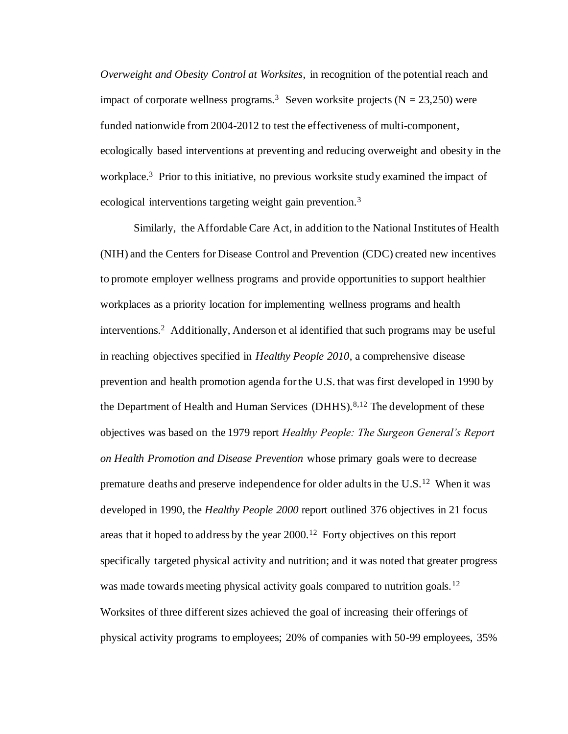*Overweight and Obesity Control at Worksites*, in recognition of the potential reach and impact of corporate wellness programs.<sup>3</sup> Seven worksite projects (N = 23,250) were funded nationwide from 2004-2012 to test the effectiveness of multi-component, ecologically based interventions at preventing and reducing overweight and obesity in the workplace.<sup>3</sup> Prior to this initiative, no previous worksite study examined the impact of ecological interventions targeting weight gain prevention.<sup>3</sup>

Similarly, the Affordable Care Act, in addition to the National Institutes of Health (NIH) and the Centers for Disease Control and Prevention (CDC) created new incentives to promote employer wellness programs and provide opportunities to support healthier workplaces as a priority location for implementing wellness programs and health  $interv$ entions.<sup>2</sup> Additionally, Anderson et al identified that such programs may be useful in reaching objectives specified in *Healthy People 2010*, a comprehensive disease prevention and health promotion agenda for the U.S. that was first developed in 1990 by the Department of Health and Human Services (DHHS).<sup>8,12</sup> The development of these objectives was based on the 1979 report *Healthy People: The Surgeon General's Report on Health Promotion and Disease Prevention* whose primary goals were to decrease premature deaths and preserve independence for older adults in the  $U.S.<sup>12</sup>$  When it was developed in 1990, the *Healthy People 2000* report outlined 376 objectives in 21 focus areas that it hoped to address by the year  $2000$ .<sup>12</sup> Forty objectives on this report specifically targeted physical activity and nutrition; and it was noted that greater progress was made towards meeting physical activity goals compared to nutrition goals.<sup>12</sup> Worksites of three different sizes achieved the goal of increasing their offerings of physical activity programs to employees; 20% of companies with 50-99 employees, 35%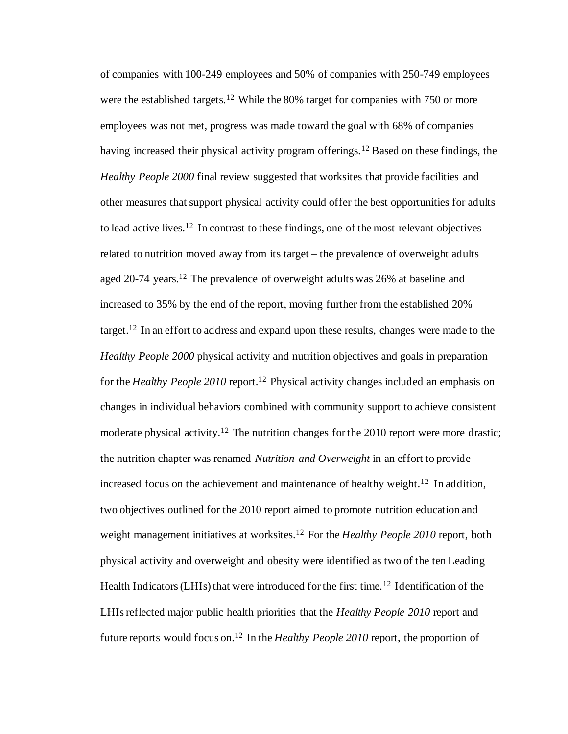of companies with 100-249 employees and 50% of companies with 250-749 employees were the established targets.<sup>12</sup> While the 80% target for companies with 750 or more employees was not met, progress was made toward the goal with 68% of companies having increased their physical activity program offerings.<sup>12</sup> Based on these findings, the *Healthy People 2000* final review suggested that worksites that provide facilities and other measures that support physical activity could offer the best opportunities for adults to lead active lives.<sup>12</sup> In contrast to these findings, one of the most relevant objectives related to nutrition moved away from its target – the prevalence of overweight adults aged 20-74 years.<sup>12</sup> The prevalence of overweight adults was 26% at baseline and increased to 35% by the end of the report, moving further from the established 20% target.<sup>12</sup> In an effort to address and expand upon these results, changes were made to the *Healthy People 2000* physical activity and nutrition objectives and goals in preparation for the *Healthy People 2010* report.<sup>12</sup> Physical activity changes included an emphasis on changes in individual behaviors combined with community support to achieve consistent moderate physical activity.<sup>12</sup> The nutrition changes for the 2010 report were more drastic; the nutrition chapter was renamed *Nutrition and Overweight* in an effort to provide increased focus on the achievement and maintenance of healthy weight.<sup>12</sup> In addition, two objectives outlined for the 2010 report aimed to promote nutrition education and weight management initiatives at worksites.<sup>12</sup> For the *Healthy People 2010* report, both physical activity and overweight and obesity were identified as two of the ten Leading Health Indicators (LHIs) that were introduced for the first time.<sup>12</sup> Identification of the LHIs reflected major public health priorities that the *Healthy People 2010* report and future reports would focus on.<sup>12</sup> In the *Healthy People 2010* report, the proportion of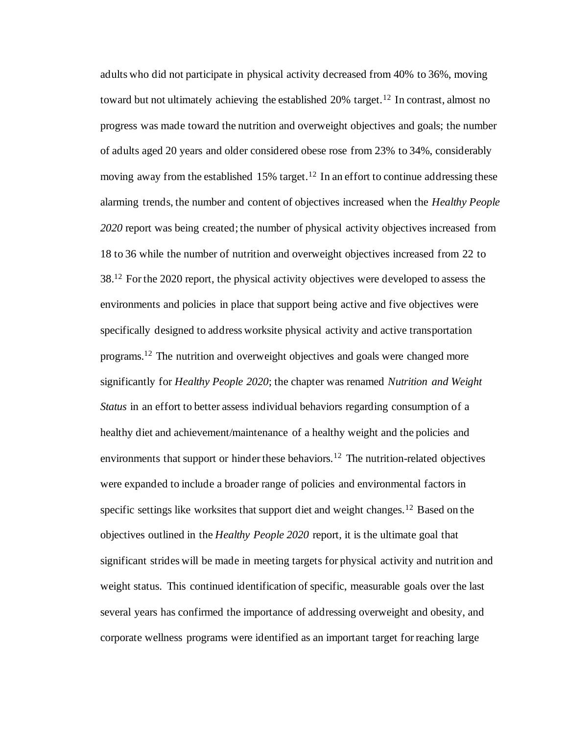adults who did not participate in physical activity decreased from 40% to 36%, moving toward but not ultimately achieving the established  $20\%$  target.<sup>12</sup> In contrast, almost no progress was made toward the nutrition and overweight objectives and goals; the number of adults aged 20 years and older considered obese rose from 23% to 34%, considerably moving away from the established 15% target.<sup>12</sup> In an effort to continue addressing these alarming trends, the number and content of objectives increased when the *Healthy People 2020* report was being created; the number of physical activity objectives increased from 18 to 36 while the number of nutrition and overweight objectives increased from 22 to  $38<sup>12</sup>$  For the 2020 report, the physical activity objectives were developed to assess the environments and policies in place that support being active and five objectives were specifically designed to address worksite physical activity and active transportation programs.<sup>12</sup> The nutrition and overweight objectives and goals were changed more significantly for *Healthy People 2020*; the chapter was renamed *Nutrition and Weight Status* in an effort to better assess individual behaviors regarding consumption of a healthy diet and achievement/maintenance of a healthy weight and the policies and environments that support or hinder these behaviors.<sup>12</sup> The nutrition-related objectives were expanded to include a broader range of policies and environmental factors in specific settings like worksites that support diet and weight changes.<sup>12</sup> Based on the objectives outlined in the *Healthy People 2020* report, it is the ultimate goal that significant strides will be made in meeting targets for physical activity and nutrition and weight status. This continued identification of specific, measurable goals over the last several years has confirmed the importance of addressing overweight and obesity, and corporate wellness programs were identified as an important target for reaching large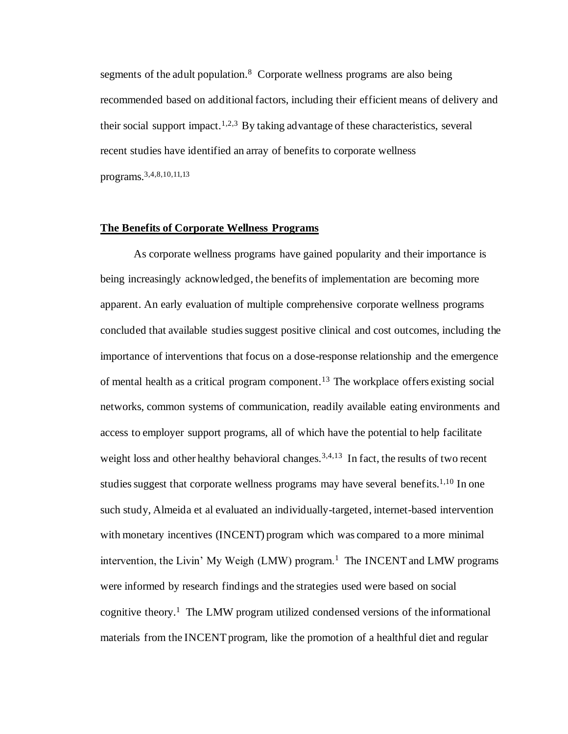segments of the adult population.<sup>8</sup> Corporate wellness programs are also being recommended based on additional factors, including their efficient means of delivery and their social support impact.<sup>1,2,3</sup> By taking advantage of these characteristics, several recent studies have identified an array of benefits to corporate wellness programs.3,4,8,10,11,13

#### **The Benefits of Corporate Wellness Programs**

As corporate wellness programs have gained popularity and their importance is being increasingly acknowledged, the benefits of implementation are becoming more apparent. An early evaluation of multiple comprehensive corporate wellness programs concluded that available studies suggest positive clinical and cost outcomes, including the importance of interventions that focus on a dose-response relationship and the emergence of mental health as a critical program component.<sup>13</sup> The workplace offers existing social networks, common systems of communication, readily available eating environments and access to employer support programs, all of which have the potential to help facilitate weight loss and other healthy behavioral changes.<sup>3,4,13</sup> In fact, the results of two recent studies suggest that corporate wellness programs may have several benefits.<sup>1,10</sup> In one such study, Almeida et al evaluated an individually-targeted, internet-based intervention with monetary incentives (INCENT) program which was compared to a more minimal intervention, the Livin' My Weigh (LMW) program.<sup>1</sup> The INCENT and LMW programs were informed by research findings and the strategies used were based on social cognitive theory.<sup>1</sup> The LMW program utilized condensed versions of the informational materials from the INCENT program, like the promotion of a healthful diet and regular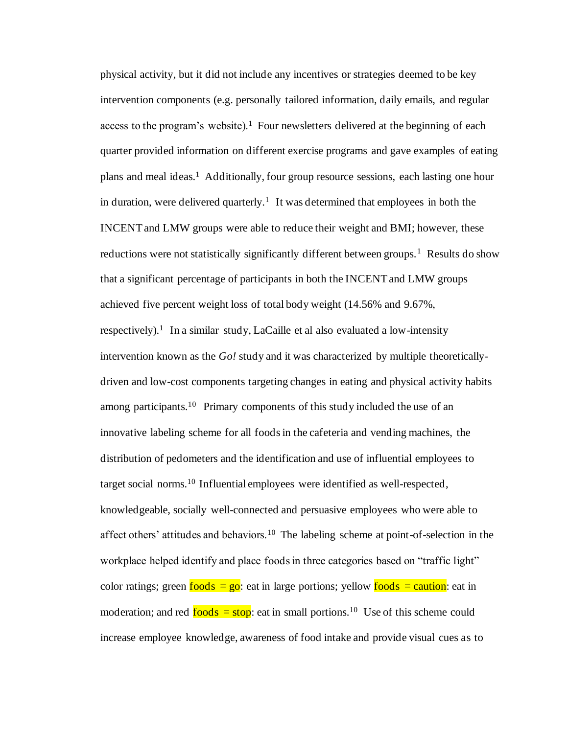physical activity, but it did not include any incentives or strategies deemed to be key intervention components (e.g. personally tailored information, daily emails, and regular access to the program's website).<sup>1</sup> Four newsletters delivered at the beginning of each quarter provided information on different exercise programs and gave examples of eating plans and meal ideas.<sup>1</sup> Additionally, four group resource sessions, each lasting one hour in duration, were delivered quarterly.<sup>1</sup> It was determined that employees in both the INCENT and LMW groups were able to reduce their weight and BMI; however, these reductions were not statistically significantly different between groups.<sup>1</sup> Results do show that a significant percentage of participants in both the INCENT and LMW groups achieved five percent weight loss of total body weight (14.56% and 9.67%, respectively).<sup>1</sup> In a similar study, LaCaille et al also evaluated a low-intensity intervention known as the *Go!* study and it was characterized by multiple theoreticallydriven and low-cost components targeting changes in eating and physical activity habits among participants.<sup>10</sup> Primary components of this study included the use of an innovative labeling scheme for all foods in the cafeteria and vending machines, the distribution of pedometers and the identification and use of influential employees to target social norms.<sup>10</sup> Influential employees were identified as well-respected, knowledgeable, socially well-connected and persuasive employees who were able to affect others' attitudes and behaviors.<sup>10</sup> The labeling scheme at point-of-selection in the workplace helped identify and place foods in three categories based on "traffic light" color ratings; green  $\frac{\text{foods}}{\text{e}} = \text{go}$ : eat in large portions; yellow  $\frac{\text{foods}}{\text{e}} = \text{caution}$ : eat in moderation; and red  $\frac{foods}{foods}$  eat in small portions.<sup>10</sup> Use of this scheme could increase employee knowledge, awareness of food intake and provide visual cues as to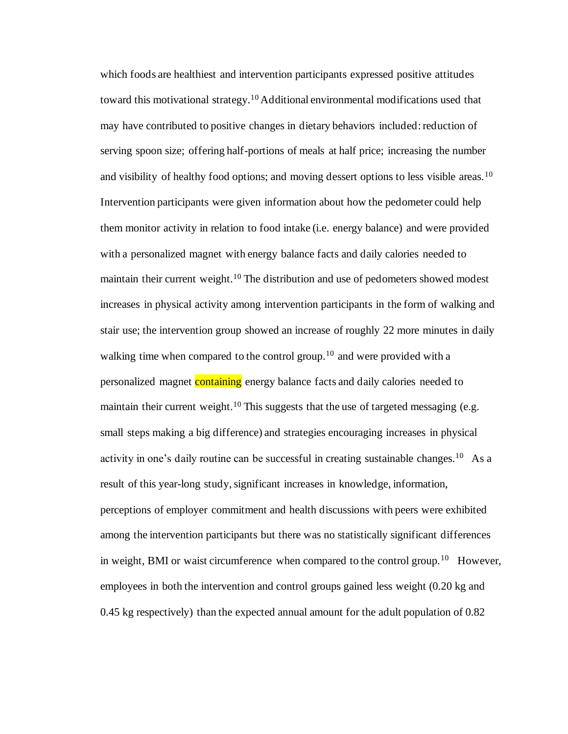which foods are healthiest and intervention participants expressed positive attitudes toward this motivational strategy.<sup>10</sup> Additional environmental modifications used that may have contributed to positive changes in dietary behaviors included: reduction of serving spoon size; offering half-portions of meals at half price; increasing the number and visibility of healthy food options; and moving dessert options to less visible areas.<sup>10</sup> Intervention participants were given information about how the pedometer could help them monitor activity in relation to food intake (i.e. energy balance) and were provided with a personalized magnet with energy balance facts and daily calories needed to maintain their current weight.<sup>10</sup> The distribution and use of pedometers showed modest increases in physical activity among intervention participants in the form of walking and stair use; the intervention group showed an increase of roughly 22 more minutes in daily walking time when compared to the control group.<sup>10</sup> and were provided with a personalized magnet containing energy balance facts and daily calories needed to maintain their current weight.<sup>10</sup> This suggests that the use of targeted messaging (e.g. small steps making a big difference) and strategies encouraging increases in physical activity in one's daily routine can be successful in creating sustainable changes.<sup>10</sup> As a result of this year-long study, significant increases in knowledge, information, perceptions of employer commitment and health discussions with peers were exhibited among the intervention participants but there was no statistically significant differences in weight, BMI or waist circumference when compared to the control group.<sup>10</sup> However, employees in both the intervention and control groups gained less weight (0.20 kg and 0.45 kg respectively) than the expected annual amount for the adult population of 0.82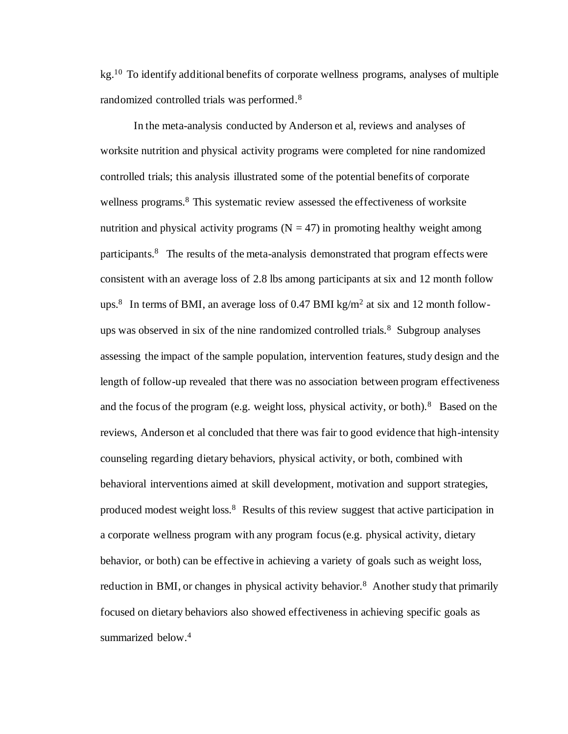$kg<sup>10</sup>$  To identify additional benefits of corporate wellness programs, analyses of multiple randomized controlled trials was performed.<sup>8</sup>

In the meta-analysis conducted by Anderson et al, reviews and analyses of worksite nutrition and physical activity programs were completed for nine randomized controlled trials; this analysis illustrated some of the potential benefits of corporate wellness programs.<sup>8</sup> This systematic review assessed the effectiveness of worksite nutrition and physical activity programs  $(N = 47)$  in promoting healthy weight among participants.<sup>8</sup> The results of the meta-analysis demonstrated that program effects were consistent with an average loss of 2.8 lbs among participants at six and 12 month follow ups.<sup>8</sup> In terms of BMI, an average loss of 0.47 BMI kg/m<sup>2</sup> at six and 12 month followups was observed in six of the nine randomized controlled trials.<sup>8</sup> Subgroup analyses assessing the impact of the sample population, intervention features, study design and the length of follow-up revealed that there was no association between program effectiveness and the focus of the program (e.g. weight loss, physical activity, or both).<sup>8</sup> Based on the reviews, Anderson et al concluded that there was fair to good evidence that high-intensity counseling regarding dietary behaviors, physical activity, or both, combined with behavioral interventions aimed at skill development, motivation and support strategies, produced modest weight loss.<sup>8</sup> Results of this review suggest that active participation in a corporate wellness program with any program focus (e.g. physical activity, dietary behavior, or both) can be effective in achieving a variety of goals such as weight loss, reduction in BMI, or changes in physical activity behavior.<sup>8</sup> Another study that primarily focused on dietary behaviors also showed effectiveness in achieving specific goals as summarized below.<sup>4</sup>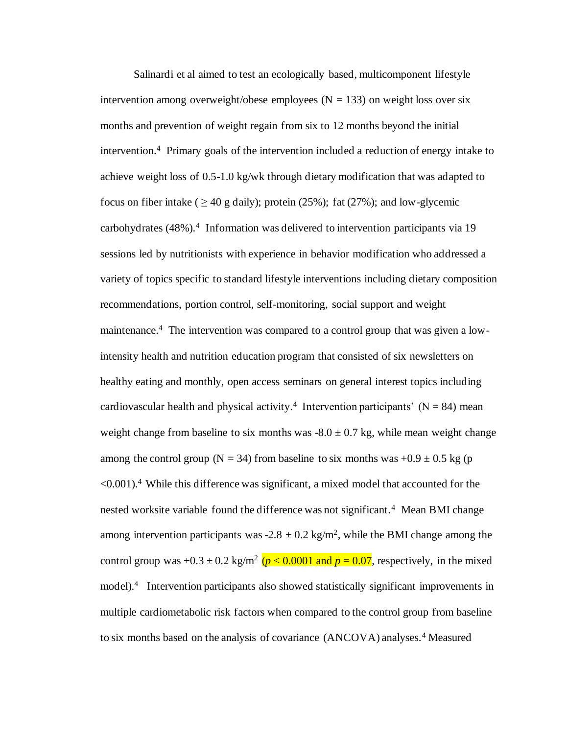Salinardi et al aimed to test an ecologically based, multicomponent lifestyle intervention among overweight/obese employees  $(N = 133)$  on weight loss over six months and prevention of weight regain from six to 12 months beyond the initial intervention.<sup>4</sup> Primary goals of the intervention included a reduction of energy intake to achieve weight loss of 0.5-1.0 kg/wk through dietary modification that was adapted to focus on fiber intake (  $>$  40 g daily); protein (25%); fat (27%); and low-glycemic carbohydrates  $(48%)$ .<sup>4</sup> Information was delivered to intervention participants via 19 sessions led by nutritionists with experience in behavior modification who addressed a variety of topics specific to standard lifestyle interventions including dietary composition recommendations, portion control, self-monitoring, social support and weight maintenance.<sup>4</sup> The intervention was compared to a control group that was given a lowintensity health and nutrition education program that consisted of six newsletters on healthy eating and monthly, open access seminars on general interest topics including cardiovascular health and physical activity.<sup>4</sup> Intervention participants' ( $N = 84$ ) mean weight change from baseline to six months was  $-8.0 \pm 0.7$  kg, while mean weight change among the control group (N = 34) from baseline to six months was  $+0.9 \pm 0.5$  kg (p  $\leq 0.001$ ).<sup>4</sup> While this difference was significant, a mixed model that accounted for the nested worksite variable found the difference was not significant.<sup>4</sup> Mean BMI change among intervention participants was  $-2.8 \pm 0.2$  kg/m<sup>2</sup>, while the BMI change among the control group was  $+0.3 \pm 0.2$  kg/m<sup>2</sup> ( $p < 0.0001$  and  $p = 0.07$ , respectively, in the mixed model).<sup>4</sup> Intervention participants also showed statistically significant improvements in multiple cardiometabolic risk factors when compared to the control group from baseline to six months based on the analysis of covariance (ANCOVA) analyses.<sup>4</sup> Measured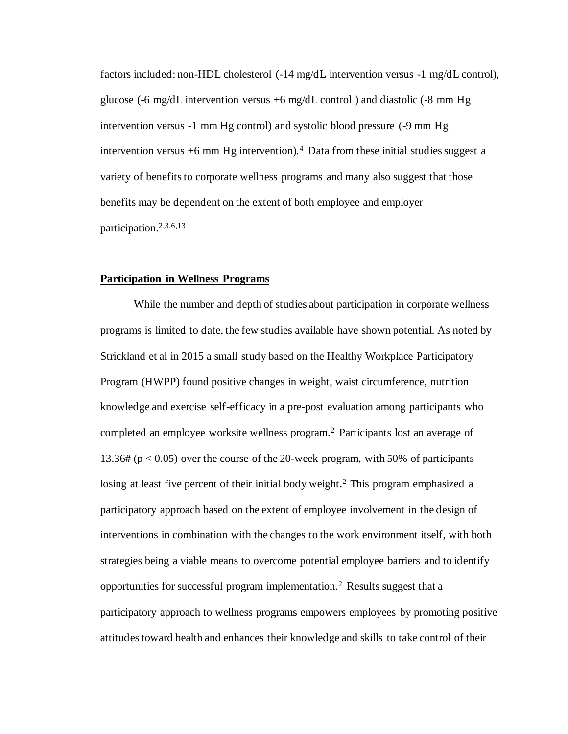factors included: non-HDL cholesterol (-14 mg/dL intervention versus -1 mg/dL control), glucose (-6 mg/dL intervention versus  $+6$  mg/dL control) and diastolic (-8 mm Hg intervention versus -1 mm Hg control) and systolic blood pressure (-9 mm Hg intervention versus  $+6$  mm Hg intervention).<sup>4</sup> Data from these initial studies suggest a variety of benefits to corporate wellness programs and many also suggest that those benefits may be dependent on the extent of both employee and employer participation.2,3,6,13

#### **Participation in Wellness Programs**

While the number and depth of studies about participation in corporate wellness programs is limited to date, the few studies available have shown potential. As noted by Strickland et al in 2015 a small study based on the Healthy Workplace Participatory Program (HWPP) found positive changes in weight, waist circumference, nutrition knowledge and exercise self-efficacy in a pre-post evaluation among participants who completed an employee worksite wellness program.<sup>2</sup> Participants lost an average of 13.36# (p < 0.05) over the course of the 20-week program, with 50% of participants losing at least five percent of their initial body weight.<sup>2</sup> This program emphasized a participatory approach based on the extent of employee involvement in the design of interventions in combination with the changes to the work environment itself, with both strategies being a viable means to overcome potential employee barriers and to identify opportunities for successful program implementation.<sup>2</sup> Results suggest that a participatory approach to wellness programs empowers employees by promoting positive attitudes toward health and enhances their knowledge and skills to take control of their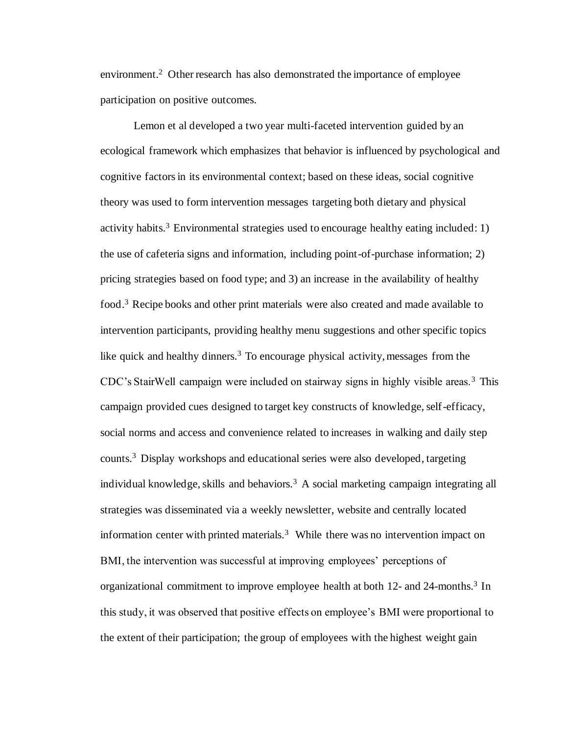environment.<sup>2</sup> Other research has also demonstrated the importance of employee participation on positive outcomes.

Lemon et al developed a two year multi-faceted intervention guided by an ecological framework which emphasizes that behavior is influenced by psychological and cognitive factors in its environmental context; based on these ideas, social cognitive theory was used to form intervention messages targeting both dietary and physical activity habits.<sup>3</sup> Environmental strategies used to encourage healthy eating included: 1) the use of cafeteria signs and information, including point-of-purchase information; 2) pricing strategies based on food type; and 3) an increase in the availability of healthy food.<sup>3</sup> Recipe books and other print materials were also created and made available to intervention participants, providing healthy menu suggestions and other specific topics like quick and healthy dinners.<sup>3</sup> To encourage physical activity, messages from the CDC's StairWell campaign were included on stairway signs in highly visible areas.<sup>3</sup> This campaign provided cues designed to target key constructs of knowledge, self-efficacy, social norms and access and convenience related to increases in walking and daily step counts.<sup>3</sup> Display workshops and educational series were also developed, targeting individual knowledge, skills and behaviors.<sup>3</sup> A social marketing campaign integrating all strategies was disseminated via a weekly newsletter, website and centrally located information center with printed materials.<sup>3</sup> While there was no intervention impact on BMI, the intervention was successful at improving employees' perceptions of organizational commitment to improve employee health at both  $12$ - and  $24$ -months.<sup>3</sup> In this study, it was observed that positive effects on employee's BMI were proportional to the extent of their participation; the group of employees with the highest weight gain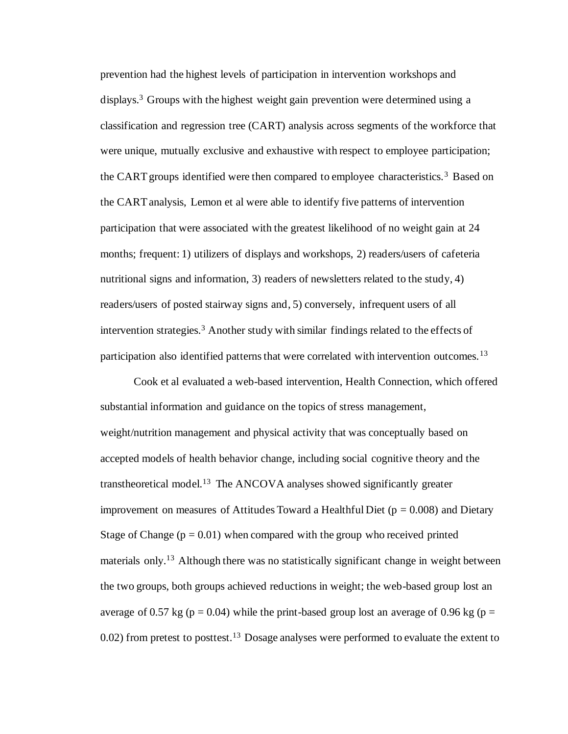prevention had the highest levels of participation in intervention workshops and displays.<sup>3</sup> Groups with the highest weight gain prevention were determined using a classification and regression tree (CART) analysis across segments of the workforce that were unique, mutually exclusive and exhaustive with respect to employee participation; the CART groups identified were then compared to employee characteristics.<sup>3</sup> Based on the CART analysis, Lemon et al were able to identify five patterns of intervention participation that were associated with the greatest likelihood of no weight gain at 24 months; frequent: 1) utilizers of displays and workshops, 2) readers/users of cafeteria nutritional signs and information, 3) readers of newsletters related to the study, 4) readers/users of posted stairway signs and, 5) conversely, infrequent users of all intervention strategies.<sup>3</sup> Another study with similar findings related to the effects of participation also identified patterns that were correlated with intervention outcomes.<sup>13</sup>

Cook et al evaluated a web-based intervention, Health Connection, which offered substantial information and guidance on the topics of stress management, weight/nutrition management and physical activity that was conceptually based on accepted models of health behavior change, including social cognitive theory and the transtheoretical model.<sup>13</sup> The ANCOVA analyses showed significantly greater improvement on measures of Attitudes Toward a Healthful Diet ( $p = 0.008$ ) and Dietary Stage of Change  $(p = 0.01)$  when compared with the group who received printed materials only.<sup>13</sup> Although there was no statistically significant change in weight between the two groups, both groups achieved reductions in weight; the web-based group lost an average of 0.57 kg ( $p = 0.04$ ) while the print-based group lost an average of 0.96 kg ( $p =$  $0.02$ ) from pretest to posttest.<sup>13</sup> Dosage analyses were performed to evaluate the extent to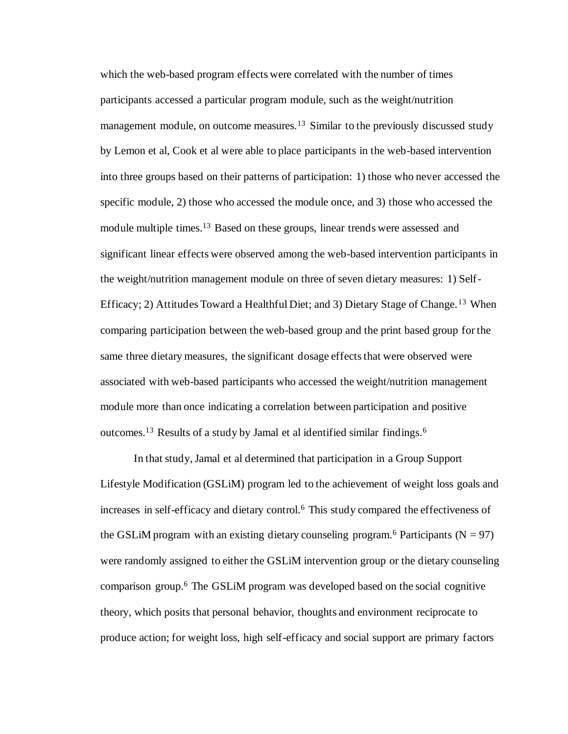which the web-based program effects were correlated with the number of times participants accessed a particular program module, such as the weight/nutrition management module, on outcome measures.<sup>13</sup> Similar to the previously discussed study by Lemon et al, Cook et al were able to place participants in the web-based intervention into three groups based on their patterns of participation: 1) those who never accessed the specific module, 2) those who accessed the module once, and 3) those who accessed the module multiple times.<sup>13</sup> Based on these groups, linear trends were assessed and significant linear effects were observed among the web-based intervention participants in the weight/nutrition management module on three of seven dietary measures: 1) Self-Efficacy; 2) Attitudes Toward a Healthful Diet; and 3) Dietary Stage of Change.<sup>13</sup> When comparing participation between the web-based group and the print based group for the same three dietary measures, the significant dosage effects that were observed were associated with web-based participants who accessed the weight/nutrition management module more than once indicating a correlation between participation and positive outcomes.<sup>13</sup> Results of a study by Jamal et al identified similar findings.<sup>6</sup>

In that study, Jamal et al determined that participation in a Group Support Lifestyle Modification (GSLiM) program led to the achievement of weight loss goals and increases in self-efficacy and dietary control.<sup>6</sup> This study compared the effectiveness of the GSLiM program with an existing dietary counseling program.<sup>6</sup> Participants ( $N = 97$ ) were randomly assigned to either the GSLiM intervention group or the dietary counseling comparison group.<sup>6</sup> The GSLiM program was developed based on the social cognitive theory, which posits that personal behavior, thoughts and environment reciprocate to produce action; for weight loss, high self-efficacy and social support are primary factors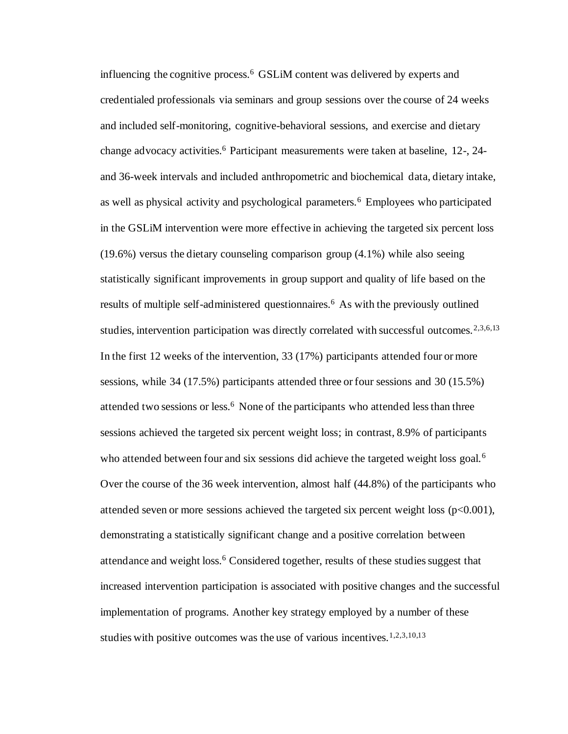influencing the cognitive process.<sup>6</sup> GSLiM content was delivered by experts and credentialed professionals via seminars and group sessions over the course of 24 weeks and included self-monitoring, cognitive-behavioral sessions, and exercise and dietary change advocacy activities.<sup>6</sup> Participant measurements were taken at baseline, 12-, 24and 36-week intervals and included anthropometric and biochemical data, dietary intake, as well as physical activity and psychological parameters.<sup>6</sup> Employees who participated in the GSLiM intervention were more effective in achieving the targeted six percent loss  $(19.6%)$  versus the dietary counseling comparison group  $(4.1%)$  while also seeing statistically significant improvements in group support and quality of life based on the results of multiple self-administered questionnaires.<sup>6</sup> As with the previously outlined studies, intervention participation was directly correlated with successful outcomes.<sup>2,3,6,13</sup> In the first 12 weeks of the intervention, 33 (17%) participants attended four or more sessions, while 34 (17.5%) participants attended three or four sessions and 30 (15.5%) attended two sessions or less. $<sup>6</sup>$  None of the participants who attended less than three</sup> sessions achieved the targeted six percent weight loss; in contrast, 8.9% of participants who attended between four and six sessions did achieve the targeted weight loss goal.<sup>6</sup> Over the course of the 36 week intervention, almost half (44.8%) of the participants who attended seven or more sessions achieved the targeted six percent weight loss (p<0.001), demonstrating a statistically significant change and a positive correlation between attendance and weight loss.<sup>6</sup> Considered together, results of these studies suggest that increased intervention participation is associated with positive changes and the successful implementation of programs. Another key strategy employed by a number of these studies with positive outcomes was the use of various incentives.<sup>1,2,3,10,13</sup>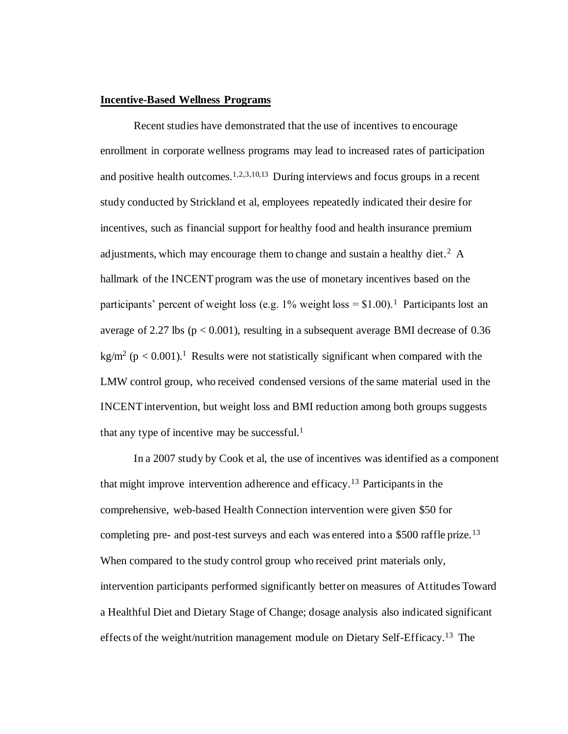#### **Incentive-Based Wellness Programs**

Recent studies have demonstrated that the use of incentives to encourage enrollment in corporate wellness programs may lead to increased rates of participation and positive health outcomes.<sup>1,2,3,10,13</sup> During interviews and focus groups in a recent study conducted by Strickland et al, employees repeatedly indicated their desire for incentives, such as financial support for healthy food and health insurance premium adjustments, which may encourage them to change and sustain a healthy diet.<sup>2</sup> A hallmark of the INCENT program was the use of monetary incentives based on the participants' percent of weight loss (e.g. 1% weight loss =  $$1.00$ ).<sup>1</sup> Participants lost an average of 2.27 lbs ( $p < 0.001$ ), resulting in a subsequent average BMI decrease of 0.36 kg/m<sup>2</sup> ( $p < 0.001$ ).<sup>1</sup> Results were not statistically significant when compared with the LMW control group, who received condensed versions of the same material used in the INCENT intervention, but weight loss and BMI reduction among both groups suggests that any type of incentive may be successful. $<sup>1</sup>$ </sup>

In a 2007 study by Cook et al, the use of incentives was identified as a component that might improve intervention adherence and efficacy.<sup>13</sup> Participants in the comprehensive, web-based Health Connection intervention were given \$50 for completing pre- and post-test surveys and each was entered into a \$500 raffle prize.<sup>13</sup> When compared to the study control group who received print materials only, intervention participants performed significantly better on measures of Attitudes Toward a Healthful Diet and Dietary Stage of Change; dosage analysis also indicated significant effects of the weight/nutrition management module on Dietary Self-Efficacy.<sup>13</sup> The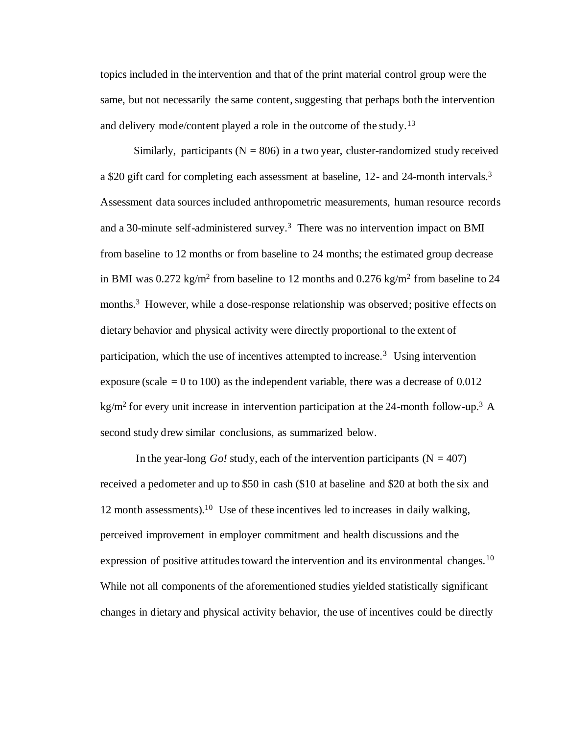topics included in the intervention and that of the print material control group were the same, but not necessarily the same content, suggesting that perhaps both the intervention and delivery mode/content played a role in the outcome of the study.<sup>13</sup>

Similarly, participants ( $N = 806$ ) in a two year, cluster-randomized study received a \$20 gift card for completing each assessment at baseline, 12- and 24-month intervals.<sup>3</sup> Assessment data sources included anthropometric measurements, human resource records and a 30-minute self-administered survey.<sup>3</sup> There was no intervention impact on BMI from baseline to 12 months or from baseline to 24 months; the estimated group decrease in BMI was  $0.272 \text{ kg/m}^2$  from baseline to 12 months and  $0.276 \text{ kg/m}^2$  from baseline to 24 months.<sup>3</sup> However, while a dose-response relationship was observed; positive effects on dietary behavior and physical activity were directly proportional to the extent of participation, which the use of incentives attempted to increase.<sup>3</sup> Using intervention exposure (scale  $= 0$  to 100) as the independent variable, there was a decrease of 0.012 kg/m<sup>2</sup> for every unit increase in intervention participation at the 24-month follow-up.<sup>3</sup> A second study drew similar conclusions, as summarized below.

In the year-long *Go!* study, each of the intervention participants  $(N = 407)$ received a pedometer and up to \$50 in cash (\$10 at baseline and \$20 at both the six and 12 month assessments).<sup>10</sup> Use of these incentives led to increases in daily walking, perceived improvement in employer commitment and health discussions and the expression of positive attitudes toward the intervention and its environmental changes.<sup>10</sup> While not all components of the aforementioned studies yielded statistically significant changes in dietary and physical activity behavior, the use of incentives could be directly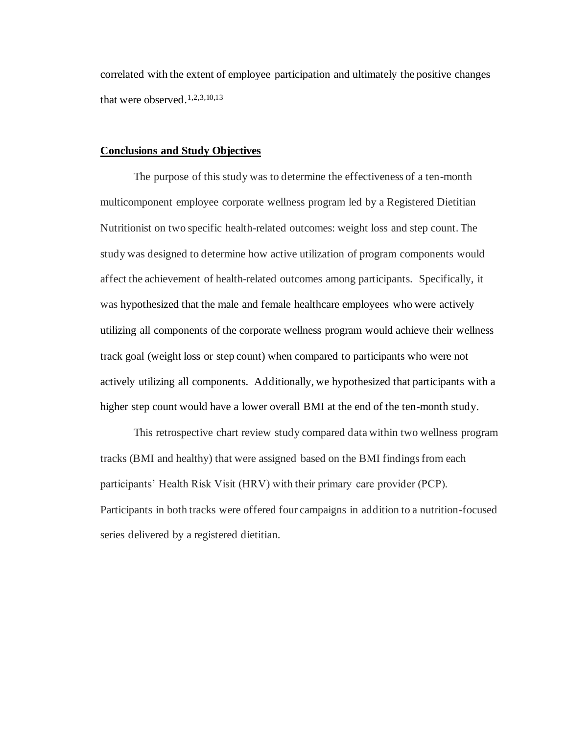correlated with the extent of employee participation and ultimately the positive changes that were observed.1,2,3,10,13

#### **Conclusions and Study Objectives**

The purpose of this study was to determine the effectiveness of a ten-month multicomponent employee corporate wellness program led by a Registered Dietitian Nutritionist on two specific health-related outcomes: weight loss and step count. The study was designed to determine how active utilization of program components would affect the achievement of health-related outcomes among participants. Specifically, it was hypothesized that the male and female healthcare employees who were actively utilizing all components of the corporate wellness program would achieve their wellness track goal (weight loss or step count) when compared to participants who were not actively utilizing all components. Additionally, we hypothesized that participants with a higher step count would have a lower overall BMI at the end of the ten-month study.

This retrospective chart review study compared data within two wellness program tracks (BMI and healthy) that were assigned based on the BMI findings from each participants' Health Risk Visit (HRV) with their primary care provider (PCP). Participants in both tracks were offered four campaigns in addition to a nutrition-focused series delivered by a registered dietitian.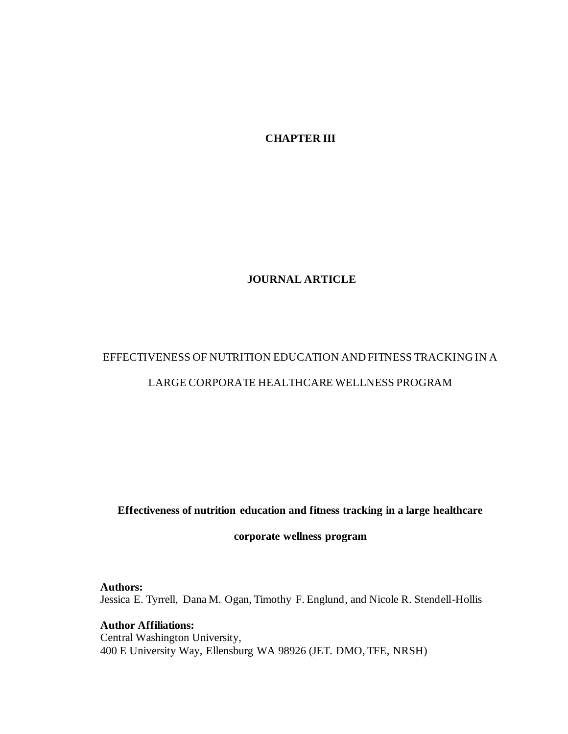**CHAPTER III**

## **JOURNAL ARTICLE**

## EFFECTIVENESS OF NUTRITION EDUCATION AND FITNESS TRACKING IN A LARGE CORPORATE HEALTHCARE WELLNESS PROGRAM

## **Effectiveness of nutrition education and fitness tracking in a large healthcare**

**corporate wellness program** 

## **Authors:**

Jessica E. Tyrrell, Dana M. Ogan, Timothy F. Englund, and Nicole R. Stendell-Hollis

**Author Affiliations:**  Central Washington University, 400 E University Way, Ellensburg WA 98926 (JET. DMO, TFE, NRSH)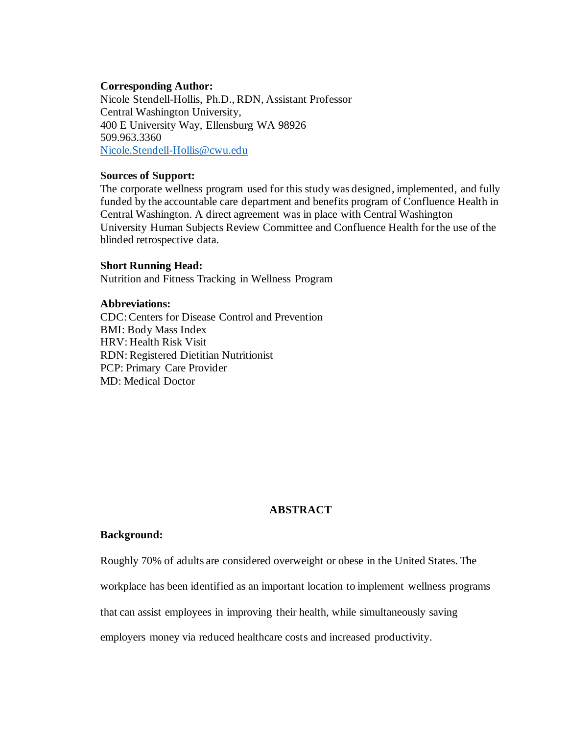#### **Corresponding Author:**

Nicole Stendell-Hollis, Ph.D., RDN, Assistant Professor Central Washington University, 400 E University Way, Ellensburg WA 98926 509.963.3360 [Nicole.Stendell-Hollis@cwu.edu](mailto:Nicole.Stendell-Hollis@cwu.edu)

#### **Sources of Support:**

The corporate wellness program used for this study was designed, implemented, and fully funded by the accountable care department and benefits program of Confluence Health in Central Washington. A direct agreement was in place with Central Washington University Human Subjects Review Committee and Confluence Health for the use of the blinded retrospective data.

#### **Short Running Head:**

Nutrition and Fitness Tracking in Wellness Program

## **Abbreviations:**

CDC: Centers for Disease Control and Prevention BMI: Body Mass Index HRV: Health Risk Visit RDN: Registered Dietitian Nutritionist PCP: Primary Care Provider MD: Medical Doctor

## **ABSTRACT**

## **Background:**

Roughly 70% of adults are considered overweight or obese in the United States. The

workplace has been identified as an important location to implement wellness programs

that can assist employees in improving their health, while simultaneously saving

employers money via reduced healthcare costs and increased productivity.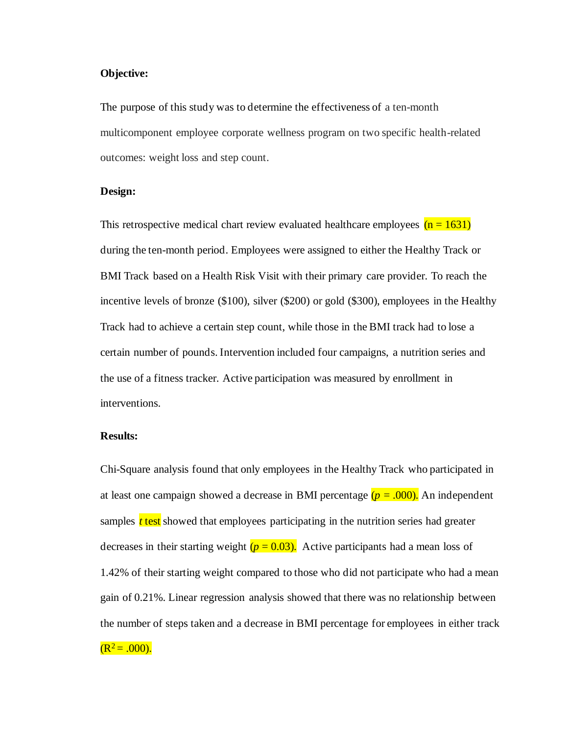#### **Objective:**

The purpose of this study was to determine the effectiveness of a ten-month multicomponent employee corporate wellness program on two specific health-related outcomes: weight loss and step count.

#### **Design:**

This retrospective medical chart review evaluated healthcare employees  $(n = 1631)$ during the ten-month period. Employees were assigned to either the Healthy Track or BMI Track based on a Health Risk Visit with their primary care provider. To reach the incentive levels of bronze (\$100), silver (\$200) or gold (\$300), employees in the Healthy Track had to achieve a certain step count, while those in the BMI track had to lose a certain number of pounds. Intervention included four campaigns, a nutrition series and the use of a fitness tracker. Active participation was measured by enrollment in interventions.

#### **Results:**

Chi-Square analysis found that only employees in the Healthy Track who participated in at least one campaign showed a decrease in BMI percentage  $(p = .000)$ . An independent samples *t* test showed that employees participating in the nutrition series had greater decreases in their starting weight  $(p = 0.03)$ . Active participants had a mean loss of 1.42% of their starting weight compared to those who did not participate who had a mean gain of 0.21%. Linear regression analysis showed that there was no relationship between the number of steps taken and a decrease in BMI percentage for employees in either track  $(R^2 = .000)$ .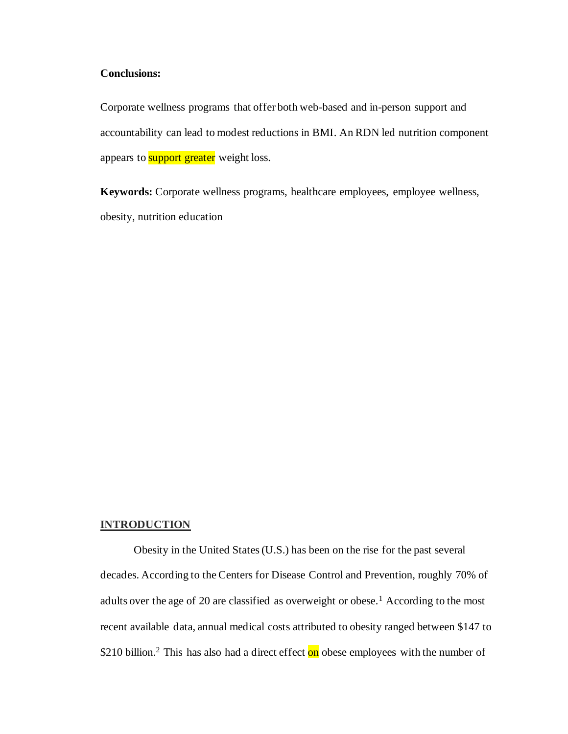## **Conclusions:**

Corporate wellness programs that offer both web-based and in-person support and accountability can lead to modest reductions in BMI. An RDN led nutrition component appears to **support greater** weight loss.

**Keywords:** Corporate wellness programs, healthcare employees, employee wellness, obesity, nutrition education

#### **INTRODUCTION**

Obesity in the United States (U.S.) has been on the rise for the past several decades. According to the Centers for Disease Control and Prevention, roughly 70% of adults over the age of 20 are classified as overweight or obese.<sup>1</sup> According to the most recent available data, annual medical costs attributed to obesity ranged between \$147 to \$210 billion.<sup>2</sup> This has also had a direct effect on obese employees with the number of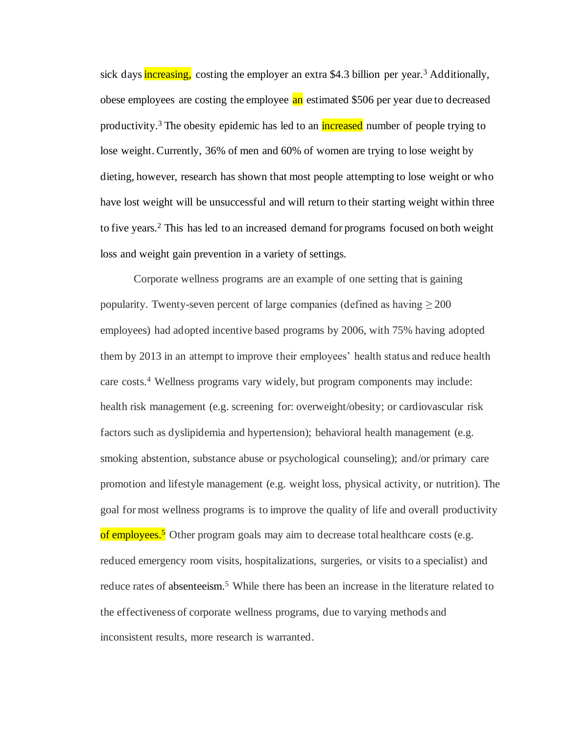sick days **increasing**, costing the employer an extra \$4.3 billion per year.<sup>3</sup> Additionally, obese employees are costing the employee an estimated \$506 per year due to decreased productivity.<sup>3</sup> The obesity epidemic has led to an increased number of people trying to lose weight. Currently, 36% of men and 60% of women are trying to lose weight by dieting, however, research has shown that most people attempting to lose weight or who have lost weight will be unsuccessful and will return to their starting weight within three to five years.<sup>2</sup> This has led to an increased demand for programs focused on both weight loss and weight gain prevention in a variety of settings.

Corporate wellness programs are an example of one setting that is gaining popularity. Twenty-seven percent of large companies (defined as having  $\geq 200$ ) employees) had adopted incentive based programs by 2006, with 75% having adopted them by 2013 in an attempt to improve their employees' health status and reduce health care costs.<sup>4</sup> Wellness programs vary widely, but program components may include: health risk management (e.g. screening for: overweight/obesity; or cardiovascular risk factors such as dyslipidemia and hypertension); behavioral health management (e.g. smoking abstention, substance abuse or psychological counseling); and/or primary care promotion and lifestyle management (e.g. weight loss, physical activity, or nutrition). The goal for most wellness programs is to improve the quality of life and overall productivity of employees.<sup>5</sup> Other program goals may aim to decrease total healthcare costs (e.g. reduced emergency room visits, hospitalizations, surgeries, or visits to a specialist) and reduce rates of absenteeism.<sup>5</sup> While there has been an increase in the literature related to the effectiveness of corporate wellness programs, due to varying methods and inconsistent results, more research is warranted.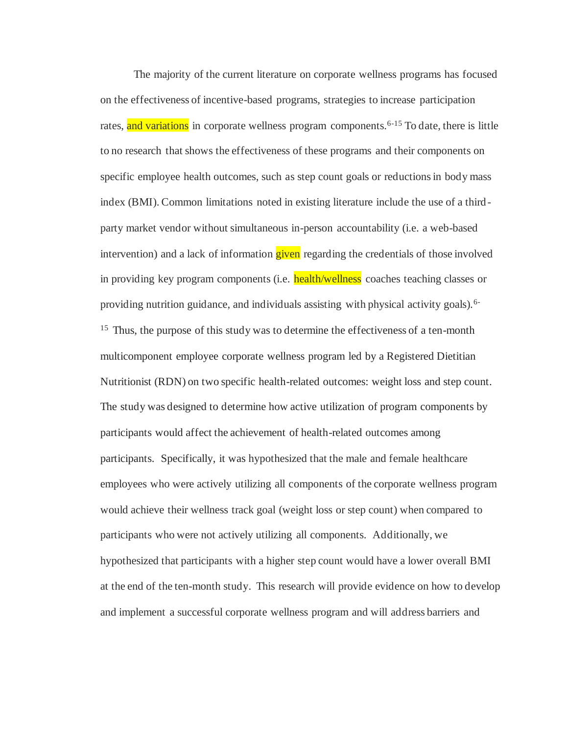The majority of the current literature on corporate wellness programs has focused on the effectiveness of incentive-based programs, strategies to increase participation rates, and variations in corporate wellness program components.<sup>6-15</sup> To date, there is little to no research that shows the effectiveness of these programs and their components on specific employee health outcomes, such as step count goals or reductions in body mass index (BMI). Common limitations noted in existing literature include the use of a thirdparty market vendor without simultaneous in-person accountability (i.e. a web-based intervention) and a lack of information **given** regarding the credentials of those involved in providing key program components (i.e. health/wellness coaches teaching classes or providing nutrition guidance, and individuals assisting with physical activity goals).6- <sup>15</sup> Thus, the purpose of this study was to determine the effectiveness of a ten-month multicomponent employee corporate wellness program led by a Registered Dietitian Nutritionist (RDN) on two specific health-related outcomes: weight loss and step count. The study was designed to determine how active utilization of program components by participants would affect the achievement of health-related outcomes among participants. Specifically, it was hypothesized that the male and female healthcare employees who were actively utilizing all components of the corporate wellness program would achieve their wellness track goal (weight loss or step count) when compared to participants who were not actively utilizing all components. Additionally, we hypothesized that participants with a higher step count would have a lower overall BMI at the end of the ten-month study. This research will provide evidence on how to develop and implement a successful corporate wellness program and will address barriers and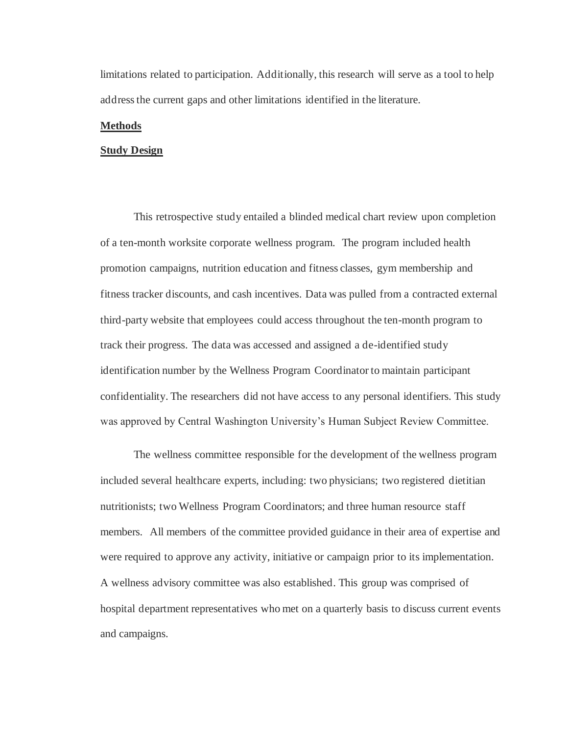limitations related to participation. Additionally, this research will serve as a tool to help address the current gaps and other limitations identified in the literature.

#### **Methods**

#### **Study Design**

This retrospective study entailed a blinded medical chart review upon completion of a ten-month worksite corporate wellness program. The program included health promotion campaigns, nutrition education and fitness classes, gym membership and fitness tracker discounts, and cash incentives. Data was pulled from a contracted external third-party website that employees could access throughout the ten-month program to track their progress. The data was accessed and assigned a de-identified study identification number by the Wellness Program Coordinator to maintain participant confidentiality. The researchers did not have access to any personal identifiers. This study was approved by Central Washington University's Human Subject Review Committee.

The wellness committee responsible for the development of the wellness program included several healthcare experts, including: two physicians; two registered dietitian nutritionists; two Wellness Program Coordinators; and three human resource staff members. All members of the committee provided guidance in their area of expertise and were required to approve any activity, initiative or campaign prior to its implementation. A wellness advisory committee was also established. This group was comprised of hospital department representatives who met on a quarterly basis to discuss current events and campaigns.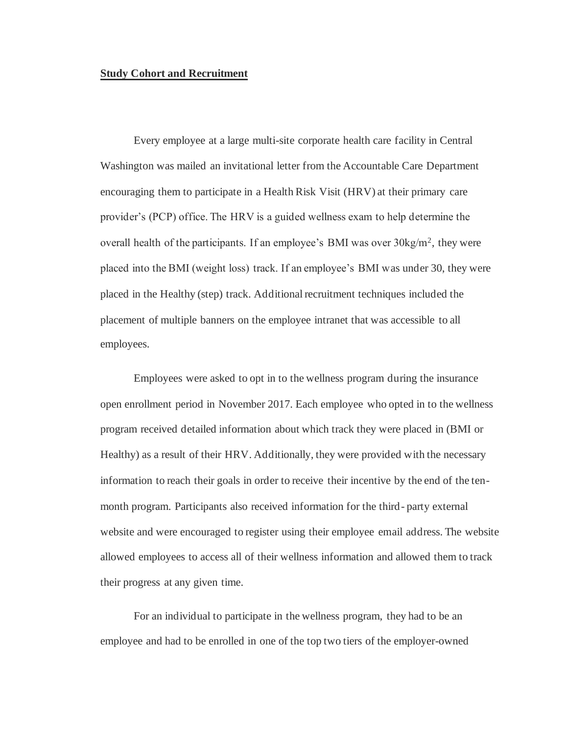#### **Study Cohort and Recruitment**

Every employee at a large multi-site corporate health care facility in Central Washington was mailed an invitational letter from the Accountable Care Department encouraging them to participate in a Health Risk Visit (HRV) at their primary care provider's (PCP) office. The HRV is a guided wellness exam to help determine the overall health of the participants. If an employee's BMI was over  $30\text{kg/m}^2$ , they were placed into the BMI (weight loss) track. If an employee's BMI was under 30, they were placed in the Healthy (step) track. Additional recruitment techniques included the placement of multiple banners on the employee intranet that was accessible to all employees.

Employees were asked to opt in to the wellness program during the insurance open enrollment period in November 2017. Each employee who opted in to the wellness program received detailed information about which track they were placed in (BMI or Healthy) as a result of their HRV. Additionally, they were provided with the necessary information to reach their goals in order to receive their incentive by the end of the tenmonth program. Participants also received information for the third- party external website and were encouraged to register using their employee email address. The website allowed employees to access all of their wellness information and allowed them to track their progress at any given time.

For an individual to participate in the wellness program, they had to be an employee and had to be enrolled in one of the top two tiers of the employer-owned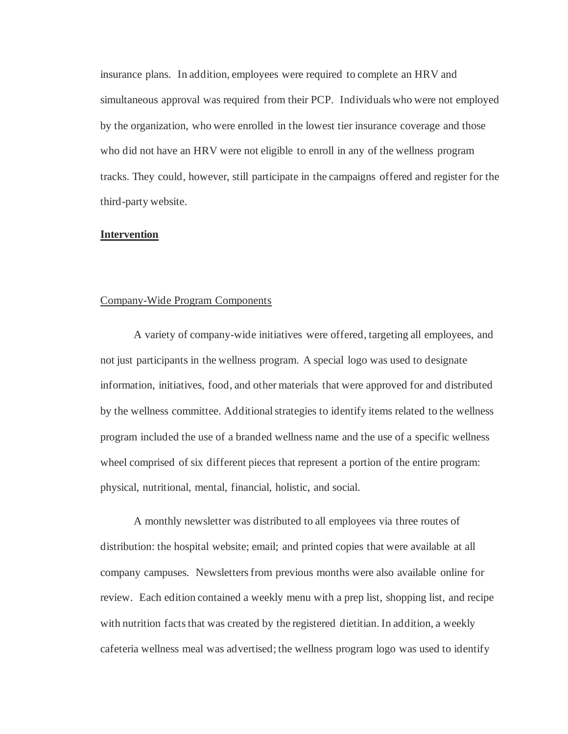insurance plans. In addition, employees were required to complete an HRV and simultaneous approval was required from their PCP. Individuals who were not employed by the organization, who were enrolled in the lowest tier insurance coverage and those who did not have an HRV were not eligible to enroll in any of the wellness program tracks. They could, however, still participate in the campaigns offered and register for the third-party website.

#### **Intervention**

#### Company-Wide Program Components

 A variety of company-wide initiatives were offered, targeting all employees, and not just participants in the wellness program. A special logo was used to designate information, initiatives, food, and other materials that were approved for and distributed by the wellness committee. Additional strategies to identify items related to the wellness program included the use of a branded wellness name and the use of a specific wellness wheel comprised of six different pieces that represent a portion of the entire program: physical, nutritional, mental, financial, holistic, and social.

 A monthly newsletter was distributed to all employees via three routes of distribution: the hospital website; email; and printed copies that were available at all company campuses. Newsletters from previous months were also available online for review. Each edition contained a weekly menu with a prep list, shopping list, and recipe with nutrition facts that was created by the registered dietitian. In addition, a weekly cafeteria wellness meal was advertised; the wellness program logo was used to identify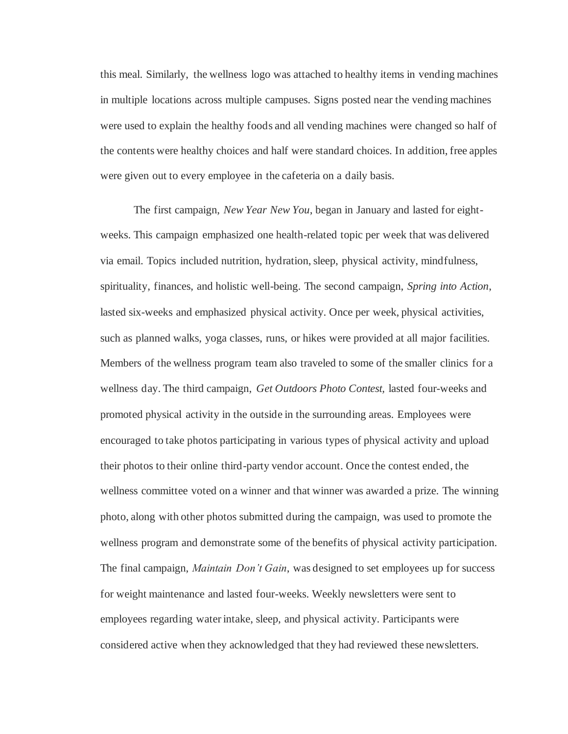this meal. Similarly, the wellness logo was attached to healthy items in vending machines in multiple locations across multiple campuses. Signs posted near the vending machines were used to explain the healthy foods and all vending machines were changed so half of the contents were healthy choices and half were standard choices. In addition, free apples were given out to every employee in the cafeteria on a daily basis.

 The first campaign, *New Year New You*, began in January and lasted for eightweeks. This campaign emphasized one health-related topic per week that was delivered via email. Topics included nutrition, hydration, sleep, physical activity, mindfulness, spirituality, finances, and holistic well-being. The second campaign, *Spring into Action*, lasted six-weeks and emphasized physical activity. Once per week, physical activities, such as planned walks, yoga classes, runs, or hikes were provided at all major facilities. Members of the wellness program team also traveled to some of the smaller clinics for a wellness day. The third campaign, *Get Outdoors Photo Contest,* lasted four-weeks and promoted physical activity in the outside in the surrounding areas. Employees were encouraged to take photos participating in various types of physical activity and upload their photos to their online third-party vendor account. Once the contest ended, the wellness committee voted on a winner and that winner was awarded a prize. The winning photo, along with other photos submitted during the campaign, was used to promote the wellness program and demonstrate some of the benefits of physical activity participation. The final campaign, *Maintain Don't Gain*, was designed to set employees up for success for weight maintenance and lasted four-weeks. Weekly newsletters were sent to employees regarding water intake, sleep, and physical activity. Participants were considered active when they acknowledged that they had reviewed these newsletters.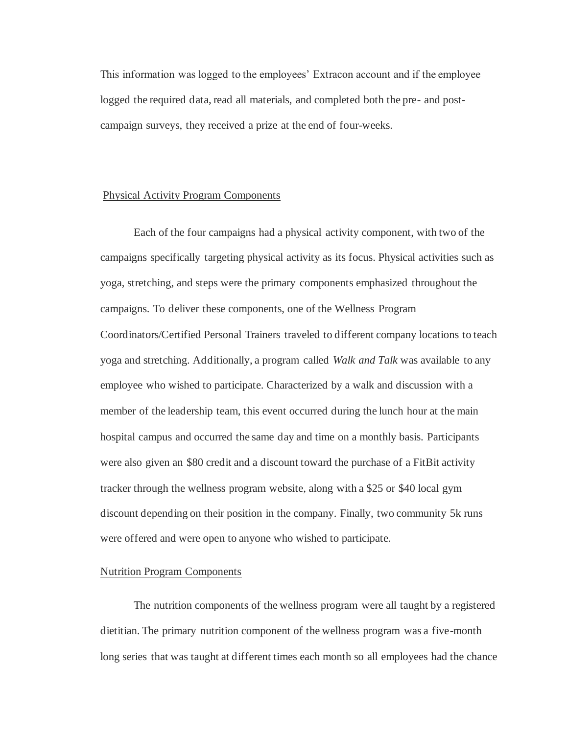This information was logged to the employees' Extracon account and if the employee logged the required data, read all materials, and completed both the pre- and postcampaign surveys, they received a prize at the end of four-weeks.

#### Physical Activity Program Components

 Each of the four campaigns had a physical activity component, with two of the campaigns specifically targeting physical activity as its focus. Physical activities such as yoga, stretching, and steps were the primary components emphasized throughout the campaigns. To deliver these components, one of the Wellness Program Coordinators/Certified Personal Trainers traveled to different company locations to teach yoga and stretching. Additionally, a program called *Walk and Talk* was available to any employee who wished to participate. Characterized by a walk and discussion with a member of the leadership team, this event occurred during the lunch hour at the main hospital campus and occurred the same day and time on a monthly basis. Participants were also given an \$80 credit and a discount toward the purchase of a FitBit activity tracker through the wellness program website, along with a \$25 or \$40 local gym discount depending on their position in the company. Finally, two community 5k runs were offered and were open to anyone who wished to participate.

#### Nutrition Program Components

 The nutrition components of the wellness program were all taught by a registered dietitian. The primary nutrition component of the wellness program was a five-month long series that was taught at different times each month so all employees had the chance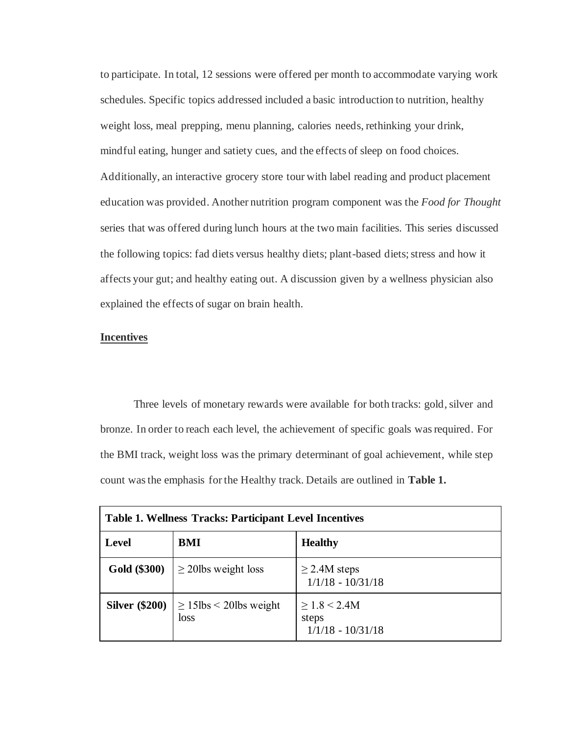to participate. In total, 12 sessions were offered per month to accommodate varying work schedules. Specific topics addressed included a basic introduction to nutrition, healthy weight loss, meal prepping, menu planning, calories needs, rethinking your drink, mindful eating, hunger and satiety cues, and the effects of sleep on food choices. Additionally, an interactive grocery store tour with label reading and product placement education was provided. Another nutrition program component was the *Food for Thought* series that was offered during lunch hours at the two main facilities. This series discussed the following topics: fad diets versus healthy diets; plant-based diets; stress and how it affects your gut; and healthy eating out. A discussion given by a wellness physician also explained the effects of sugar on brain health.

#### **Incentives**

Three levels of monetary rewards were available for both tracks: gold, silver and bronze. In order to reach each level, the achievement of specific goals was required. For the BMI track, weight loss was the primary determinant of goal achievement, while step count was the emphasis for the Healthy track. Details are outlined in **Table 1.**

| <b>Table 1. Wellness Tracks: Participant Level Incentives</b> |                                     |                                                      |
|---------------------------------------------------------------|-------------------------------------|------------------------------------------------------|
| <b>Level</b>                                                  | BMI                                 | <b>Healthy</b>                                       |
| Gold (\$300)                                                  | $\geq$ 20lbs weight loss            | $\geq$ 2.4M steps<br>$1/1/18 - 10/31/18$             |
| <b>Silver (\$200)</b>                                         | $\geq$ 15lbs < 20lbs weight<br>loss | $\geq 1.8 \leq 2.4M$<br>steps<br>$1/1/18 - 10/31/18$ |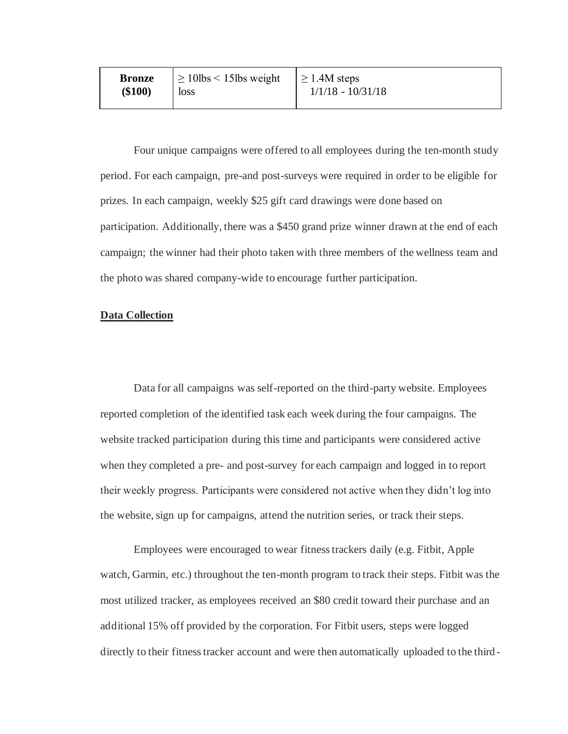| <b>Bronze</b><br>\$100)<br><b>loss</b> | $\vert \geq 10$ lbs < 15lbs weight $\vert \geq 1.4$ M steps | $1/1/18 - 10/31/18$ |
|----------------------------------------|-------------------------------------------------------------|---------------------|
|----------------------------------------|-------------------------------------------------------------|---------------------|

Four unique campaigns were offered to all employees during the ten-month study period. For each campaign, pre-and post-surveys were required in order to be eligible for prizes. In each campaign, weekly \$25 gift card drawings were done based on participation. Additionally, there was a \$450 grand prize winner drawn at the end of each campaign; the winner had their photo taken with three members of the wellness team and the photo was shared company-wide to encourage further participation.

#### **Data Collection**

 Data for all campaigns was self-reported on the third-party website. Employees reported completion of the identified task each week during the four campaigns. The website tracked participation during this time and participants were considered active when they completed a pre- and post-survey for each campaign and logged in to report their weekly progress. Participants were considered not active when they didn't log into the website, sign up for campaigns, attend the nutrition series, or track their steps.

Employees were encouraged to wear fitness trackers daily (e.g. Fitbit, Apple watch, Garmin, etc.) throughout the ten-month program to track their steps. Fitbit was the most utilized tracker, as employees received an \$80 credit toward their purchase and an additional 15% off provided by the corporation. For Fitbit users, steps were logged directly to their fitness tracker account and were then automatically uploaded to the third -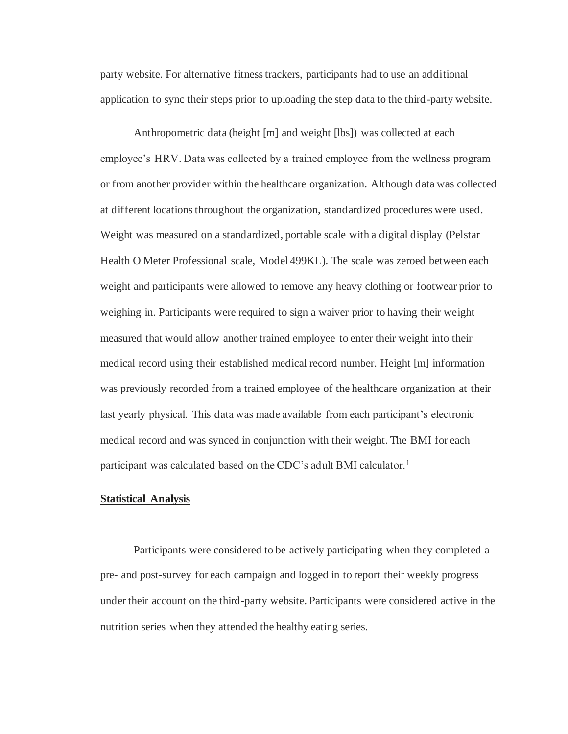party website. For alternative fitness trackers, participants had to use an additional application to sync their steps prior to uploading the step data to the third-party website.

Anthropometric data (height [m] and weight [lbs]) was collected at each employee's HRV. Data was collected by a trained employee from the wellness program or from another provider within the healthcare organization. Although data was collected at different locations throughout the organization, standardized procedures were used. Weight was measured on a standardized, portable scale with a digital display (Pelstar Health O Meter Professional scale, Model 499KL). The scale was zeroed between each weight and participants were allowed to remove any heavy clothing or footwear prior to weighing in. Participants were required to sign a waiver prior to having their weight measured that would allow another trained employee to enter their weight into their medical record using their established medical record number. Height [m] information was previously recorded from a trained employee of the healthcare organization at their last yearly physical. This data was made available from each participant's electronic medical record and was synced in conjunction with their weight. The BMI for each participant was calculated based on the CDC's adult BMI calculator.<sup>1</sup>

#### **Statistical Analysis**

Participants were considered to be actively participating when they completed a pre- and post-survey for each campaign and logged in to report their weekly progress under their account on the third-party website. Participants were considered active in the nutrition series when they attended the healthy eating series.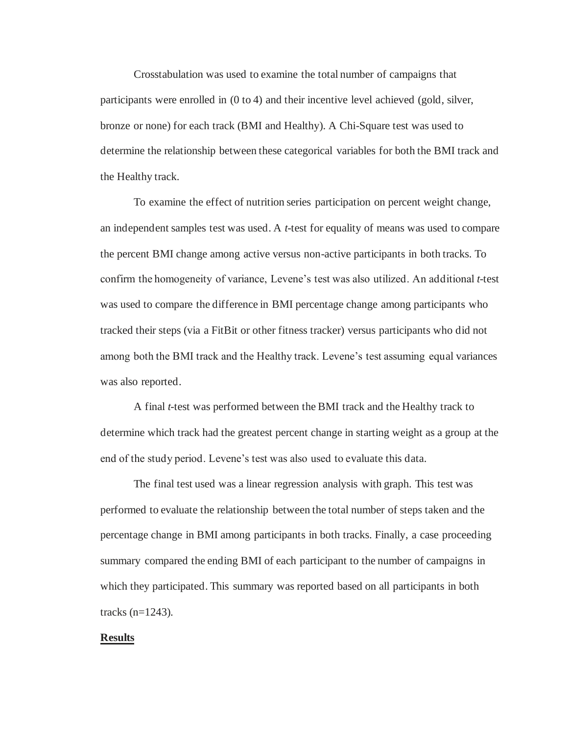Crosstabulation was used to examine the total number of campaigns that participants were enrolled in (0 to 4) and their incentive level achieved (gold, silver, bronze or none) for each track (BMI and Healthy). A Chi-Square test was used to determine the relationship between these categorical variables for both the BMI track and the Healthy track.

To examine the effect of nutrition series participation on percent weight change, an independent samples test was used. A *t*-test for equality of means was used to compare the percent BMI change among active versus non-active participants in both tracks. To confirm the homogeneity of variance, Levene's test was also utilized. An additional *t*-test was used to compare the difference in BMI percentage change among participants who tracked their steps (via a FitBit or other fitness tracker) versus participants who did not among both the BMI track and the Healthy track. Levene's test assuming equal variances was also reported.

A final *t*-test was performed between the BMI track and the Healthy track to determine which track had the greatest percent change in starting weight as a group at the end of the study period. Levene's test was also used to evaluate this data.

The final test used was a linear regression analysis with graph. This test was performed to evaluate the relationship between the total number of steps taken and the percentage change in BMI among participants in both tracks. Finally, a case proceeding summary compared the ending BMI of each participant to the number of campaigns in which they participated. This summary was reported based on all participants in both tracks (n=1243).

#### **Results**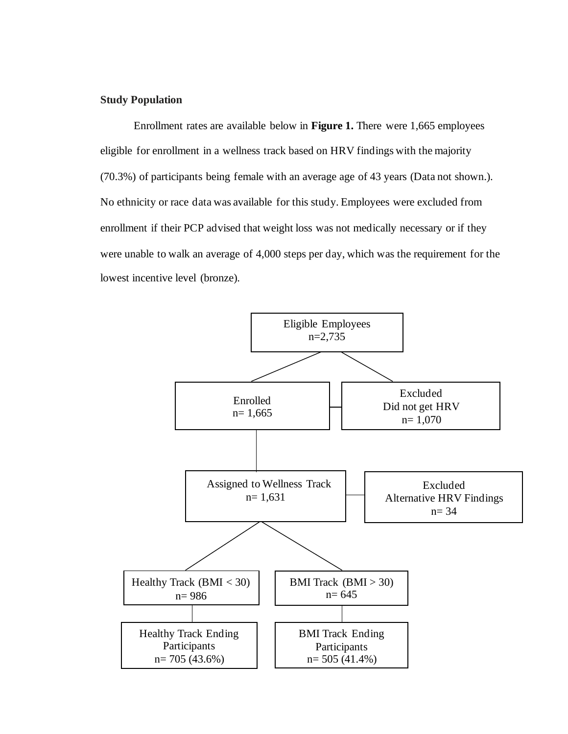#### **Study Population**

Enrollment rates are available below in **Figure 1.** There were 1,665 employees eligible for enrollment in a wellness track based on HRV findings with the majority (70.3%) of participants being female with an average age of 43 years (Data not shown.). No ethnicity or race data was available for this study. Employees were excluded from enrollment if their PCP advised that weight loss was not medically necessary or if they were unable to walk an average of 4,000 steps per day, which was the requirement for the lowest incentive level (bronze).

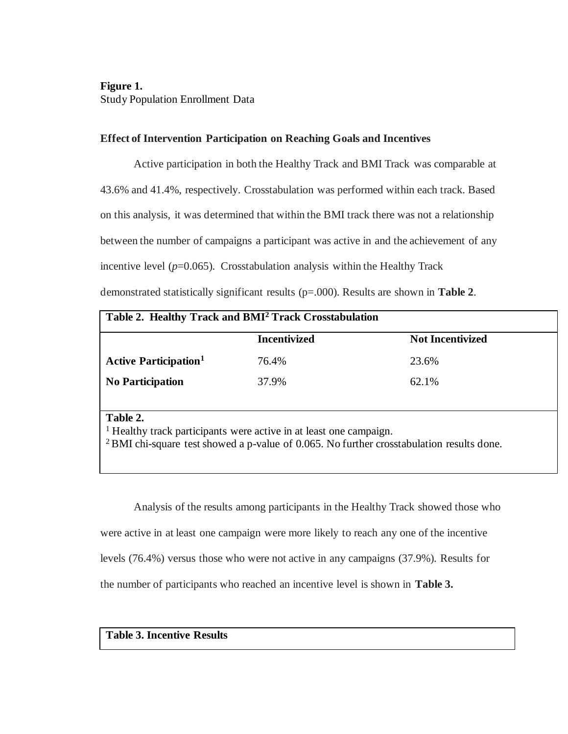## **Figure 1.**  Study Population Enrollment Data

## **Effect of Intervention Participation on Reaching Goals and Incentives**

Active participation in both the Healthy Track and BMI Track was comparable at 43.6% and 41.4%, respectively. Crosstabulation was performed within each track. Based on this analysis, it was determined that within the BMI track there was not a relationship between the number of campaigns a participant was active in and the achievement of any incentive level  $(p=0.065)$ . Crosstabulation analysis within the Healthy Track demonstrated statistically significant results (p=.000). Results are shown in **Table 2**.

| Table 2. Healthy Track and BMI <sup>2</sup> Track Crosstabulation |                     |                         |
|-------------------------------------------------------------------|---------------------|-------------------------|
|                                                                   | <b>Incentivized</b> | <b>Not Incentivized</b> |
| <b>Active Participation</b> <sup>1</sup>                          | 76.4%               | 23.6%                   |
| <b>No Participation</b>                                           | 37.9%               | 62.1%                   |
|                                                                   |                     |                         |

#### **Table 2.**

<sup>1</sup> Healthy track participants were active in at least one campaign.

<sup>2</sup>BMI chi-square test showed a p-value of 0.065. No further crosstabulation results done.

Analysis of the results among participants in the Healthy Track showed those who were active in at least one campaign were more likely to reach any one of the incentive levels (76.4%) versus those who were not active in any campaigns (37.9%). Results for the number of participants who reached an incentive level is shown in **Table 3.**

## **Table 3. Incentive Results**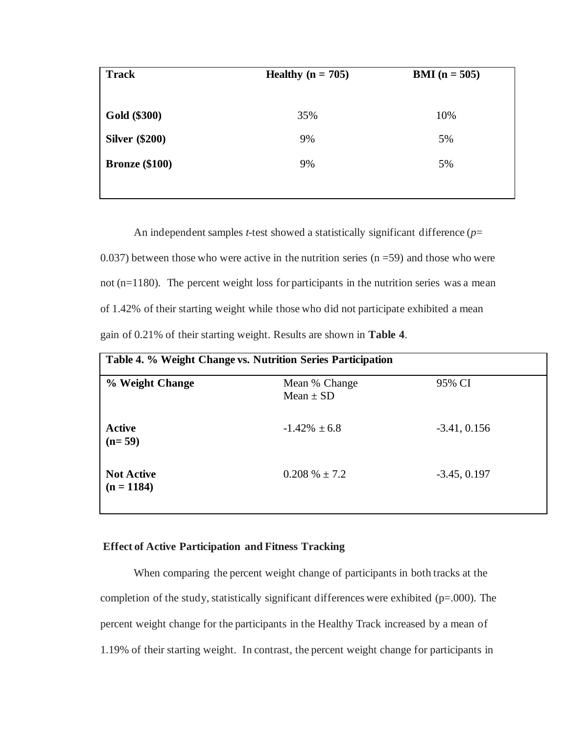| <b>Track</b>          | Healthy $(n = 705)$ | <b>BMI</b> $(n = 505)$ |
|-----------------------|---------------------|------------------------|
|                       |                     |                        |
| Gold (\$300)          | 35%                 | 10%                    |
| <b>Silver</b> (\$200) | 9%                  | 5%                     |
| <b>Bronze</b> (\$100) | 9%                  | 5%                     |
|                       |                     |                        |

An independent samples *t*-test showed a statistically significant difference (*p*= 0.037) between those who were active in the nutrition series  $(n = 59)$  and those who were not (n=1180). The percent weight loss for participants in the nutrition series was a mean of 1.42% of their starting weight while those who did not participate exhibited a mean gain of 0.21% of their starting weight. Results are shown in **Table 4**.

| Table 4. % Weight Change vs. Nutrition Series Participation |                                |                |  |
|-------------------------------------------------------------|--------------------------------|----------------|--|
| % Weight Change                                             | Mean % Change<br>Mean $\pm$ SD | 95% CI         |  |
| <b>Active</b><br>$(n=59)$                                   | $-1.42\% \pm 6.8$              | $-3.41, 0.156$ |  |
| <b>Not Active</b><br>$(n = 1184)$                           | $0.208\% \pm 7.2$              | $-3.45, 0.197$ |  |

## **Effect of Active Participation and Fitness Tracking**

When comparing the percent weight change of participants in both tracks at the completion of the study, statistically significant differences were exhibited (p=.000). The percent weight change for the participants in the Healthy Track increased by a mean of 1.19% of their starting weight. In contrast, the percent weight change for participants in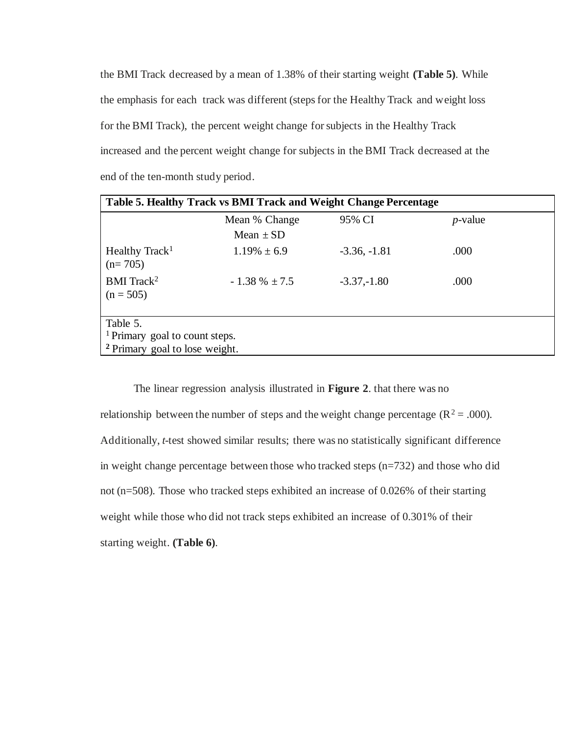the BMI Track decreased by a mean of 1.38% of their starting weight **(Table 5)**. While the emphasis for each track was different (steps for the Healthy Track and weight loss for the BMI Track), the percent weight change for subjects in the Healthy Track increased and the percent weight change for subjects in the BMI Track decreased at the end of the ten-month study period.

| Table 5. Healthy Track vs BMI Track and Weight Change Percentage                                   |                    |                |            |  |
|----------------------------------------------------------------------------------------------------|--------------------|----------------|------------|--|
|                                                                                                    | Mean % Change      | 95% CI         | $p$ -value |  |
|                                                                                                    | Mean $\pm$ SD      |                |            |  |
| Healthy Track <sup>1</sup><br>$(n=705)$                                                            | $1.19\% \pm 6.9$   | $-3.36, -1.81$ | .000       |  |
| $BMI$ Track <sup>2</sup><br>$(n = 505)$                                                            | $-1.38 \% \pm 7.5$ | $-3.37,-1.80$  | .000       |  |
| Table 5.<br><sup>1</sup> Primary goal to count steps.<br><sup>2</sup> Primary goal to lose weight. |                    |                |            |  |

The linear regression analysis illustrated in **Figure 2**. that there was no relationship between the number of steps and the weight change percentage ( $R^2 = .000$ ). Additionally, *t*-test showed similar results; there was no statistically significant difference in weight change percentage between those who tracked steps (n=732) and those who did not (n=508). Those who tracked steps exhibited an increase of 0.026% of their starting weight while those who did not track steps exhibited an increase of 0.301% of their starting weight. **(Table 6)**.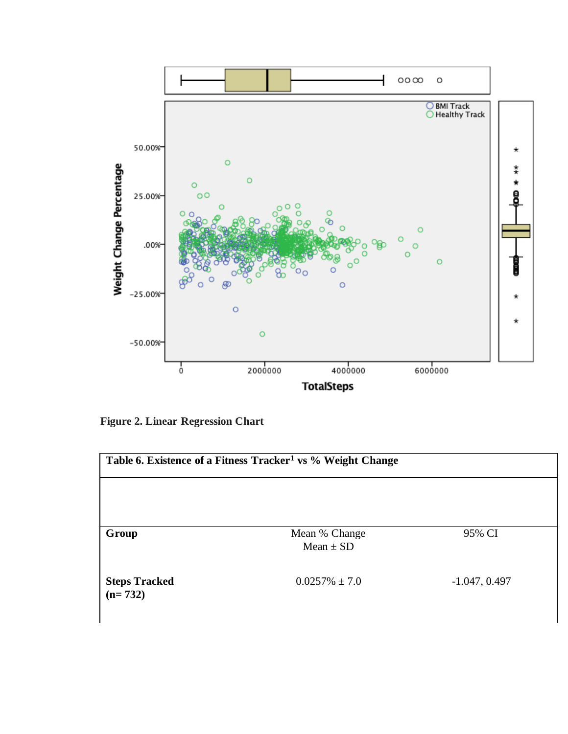

**Figure 2. Linear Regression Chart** 

| Table 6. Existence of a Fitness Tracker <sup>1</sup> vs % Weight Change |                                |                 |
|-------------------------------------------------------------------------|--------------------------------|-----------------|
|                                                                         |                                |                 |
|                                                                         |                                |                 |
| Group                                                                   | Mean % Change<br>$Mean \pm SD$ | 95% CI          |
| <b>Steps Tracked</b><br>$(n=732)$                                       | $0.0257\% \pm 7.0$             | $-1.047, 0.497$ |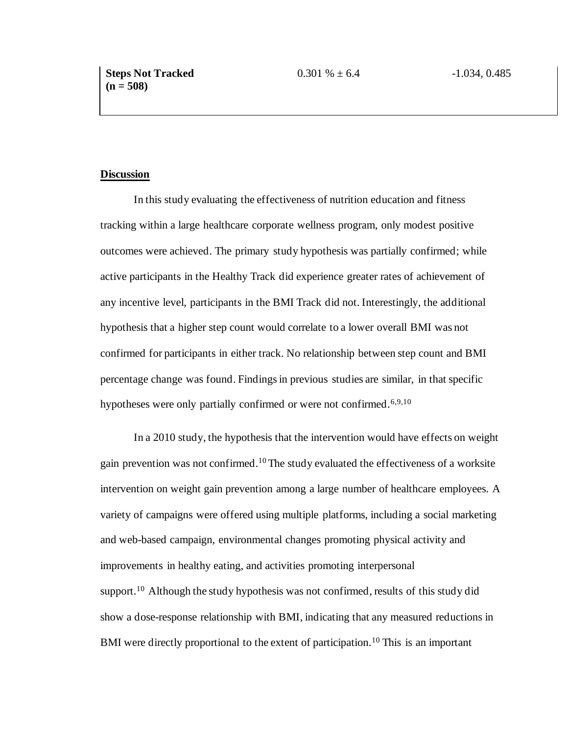#### **Discussion**

 In this study evaluating the effectiveness of nutrition education and fitness tracking within a large healthcare corporate wellness program, only modest positive outcomes were achieved. The primary study hypothesis was partially confirmed; while active participants in the Healthy Track did experience greater rates of achievement of any incentive level, participants in the BMI Track did not. Interestingly, the additional hypothesis that a higher step count would correlate to a lower overall BMI was not confirmed for participants in either track. No relationship between step count and BMI percentage change was found. Findings in previous studies are similar, in that specific hypotheses were only partially confirmed or were not confirmed.<sup>6,9,10</sup>

In a 2010 study, the hypothesis that the intervention would have effects on weight gain prevention was not confirmed.<sup>10</sup>The study evaluated the effectiveness of a worksite intervention on weight gain prevention among a large number of healthcare employees. A variety of campaigns were offered using multiple platforms, including a social marketing and web-based campaign, environmental changes promoting physical activity and improvements in healthy eating, and activities promoting interpersonal support.<sup>10</sup> Although the study hypothesis was not confirmed, results of this study did show a dose-response relationship with BMI, indicating that any measured reductions in BMI were directly proportional to the extent of participation.<sup>10</sup> This is an important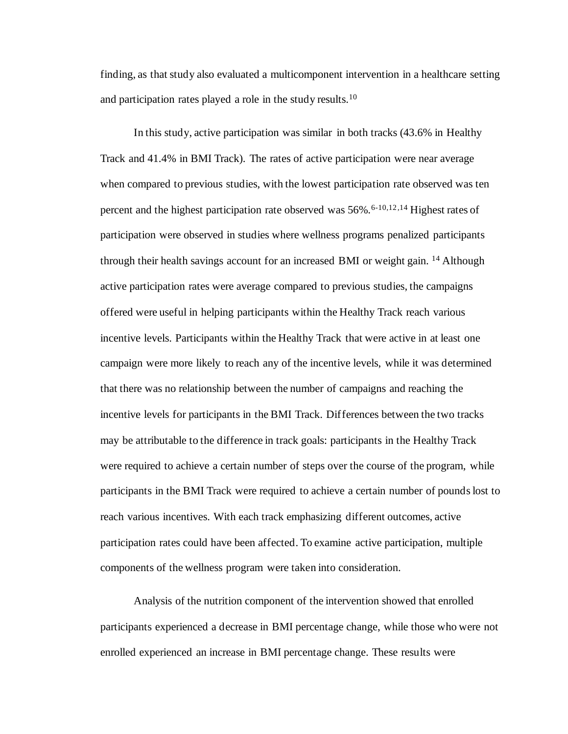finding, as that study also evaluated a multicomponent intervention in a healthcare setting and participation rates played a role in the study results.<sup>10</sup>

In this study, active participation was similar in both tracks (43.6% in Healthy Track and 41.4% in BMI Track). The rates of active participation were near average when compared to previous studies, with the lowest participation rate observed was ten percent and the highest participation rate observed was  $56\%$ .<sup>6-10,12,14</sup> Highest rates of participation were observed in studies where wellness programs penalized participants through their health savings account for an increased BMI or weight gain. <sup>14</sup> Although active participation rates were average compared to previous studies, the campaigns offered were useful in helping participants within the Healthy Track reach various incentive levels. Participants within the Healthy Track that were active in at least one campaign were more likely to reach any of the incentive levels, while it was determined that there was no relationship between the number of campaigns and reaching the incentive levels for participants in the BMI Track. Differences between the two tracks may be attributable to the difference in track goals: participants in the Healthy Track were required to achieve a certain number of steps over the course of the program, while participants in the BMI Track were required to achieve a certain number of pounds lost to reach various incentives. With each track emphasizing different outcomes, active participation rates could have been affected. To examine active participation, multiple components of the wellness program were taken into consideration.

Analysis of the nutrition component of the intervention showed that enrolled participants experienced a decrease in BMI percentage change, while those who were not enrolled experienced an increase in BMI percentage change. These results were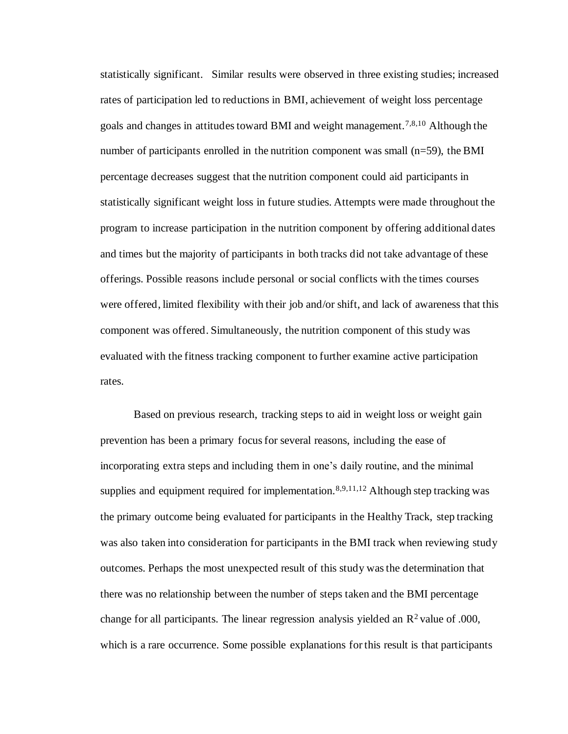statistically significant. Similar results were observed in three existing studies; increased rates of participation led to reductions in BMI, achievement of weight loss percentage goals and changes in attitudes toward BMI and weight management.7,8,10 Although the number of participants enrolled in the nutrition component was small (n=59), the BMI percentage decreases suggest that the nutrition component could aid participants in statistically significant weight loss in future studies. Attempts were made throughout the program to increase participation in the nutrition component by offering additional dates and times but the majority of participants in both tracks did not take advantage of these offerings. Possible reasons include personal or social conflicts with the times courses were offered, limited flexibility with their job and/or shift, and lack of awareness that this component was offered. Simultaneously, the nutrition component of this study was evaluated with the fitness tracking component to further examine active participation rates.

Based on previous research, tracking steps to aid in weight loss or weight gain prevention has been a primary focus for several reasons, including the ease of incorporating extra steps and including them in one's daily routine, and the minimal supplies and equipment required for implementation.<sup>8,9,11,12</sup> Although step tracking was the primary outcome being evaluated for participants in the Healthy Track, step tracking was also taken into consideration for participants in the BMI track when reviewing study outcomes. Perhaps the most unexpected result of this study was the determination that there was no relationship between the number of steps taken and the BMI percentage change for all participants. The linear regression analysis yielded an  $\mathbb{R}^2$  value of .000, which is a rare occurrence. Some possible explanations for this result is that participants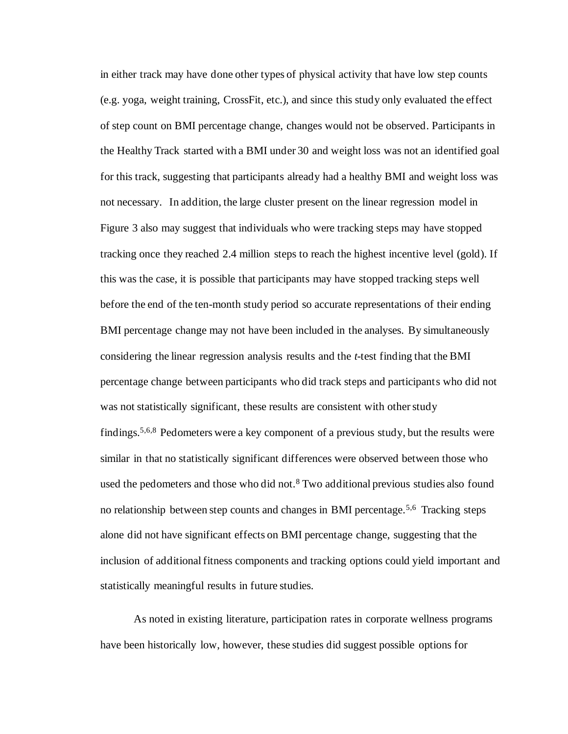in either track may have done other types of physical activity that have low step counts (e.g. yoga, weight training, CrossFit, etc.), and since this study only evaluated the effect of step count on BMI percentage change, changes would not be observed. Participants in the Healthy Track started with a BMI under 30 and weight loss was not an identified goal for this track, suggesting that participants already had a healthy BMI and weight loss was not necessary. In addition, the large cluster present on the linear regression model in Figure 3 also may suggest that individuals who were tracking steps may have stopped tracking once they reached 2.4 million steps to reach the highest incentive level (gold). If this was the case, it is possible that participants may have stopped tracking steps well before the end of the ten-month study period so accurate representations of their ending BMI percentage change may not have been included in the analyses. By simultaneously considering the linear regression analysis results and the *t*-test finding that the BMI percentage change between participants who did track steps and participants who did not was not statistically significant, these results are consistent with other study findings.5,6,8 Pedometers were a key component of a previous study, but the results were similar in that no statistically significant differences were observed between those who used the pedometers and those who did not.<sup>8</sup> Two additional previous studies also found no relationship between step counts and changes in BMI percentage.<sup>5,6</sup> Tracking steps alone did not have significant effects on BMI percentage change, suggesting that the inclusion of additional fitness components and tracking options could yield important and statistically meaningful results in future studies.

As noted in existing literature, participation rates in corporate wellness programs have been historically low, however, these studies did suggest possible options for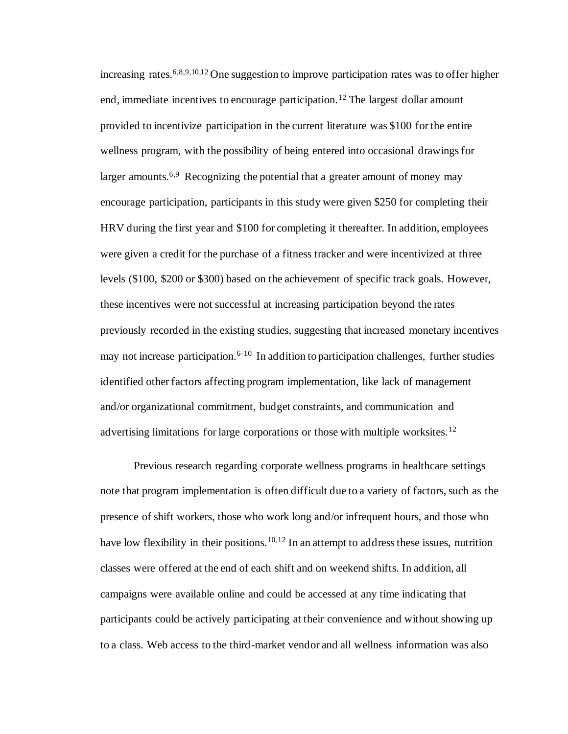increasing rates.<sup>6,8,9,10,12</sup> One suggestion to improve participation rates was to offer higher end, immediate incentives to encourage participation.<sup>12</sup> The largest dollar amount provided to incentivize participation in the current literature was \$100 for the entire wellness program, with the possibility of being entered into occasional drawings for larger amounts.<sup>6,9</sup> Recognizing the potential that a greater amount of money may encourage participation, participants in this study were given \$250 for completing their HRV during the first year and \$100 for completing it thereafter. In addition, employees were given a credit for the purchase of a fitness tracker and were incentivized at three levels (\$100, \$200 or \$300) based on the achievement of specific track goals. However, these incentives were not successful at increasing participation beyond the rates previously recorded in the existing studies, suggesting that increased monetary incentives may not increase participation.<sup>6-10</sup> In addition to participation challenges, further studies identified other factors affecting program implementation, like lack of management and/or organizational commitment, budget constraints, and communication and advertising limitations for large corporations or those with multiple worksites.<sup>12</sup>

Previous research regarding corporate wellness programs in healthcare settings note that program implementation is often difficult due to a variety of factors, such as the presence of shift workers, those who work long and/or infrequent hours, and those who have low flexibility in their positions.<sup>10,12</sup> In an attempt to address these issues, nutrition classes were offered at the end of each shift and on weekend shifts. In addition, all campaigns were available online and could be accessed at any time indicating that participants could be actively participating at their convenience and without showing up to a class. Web access to the third-market vendor and all wellness information was also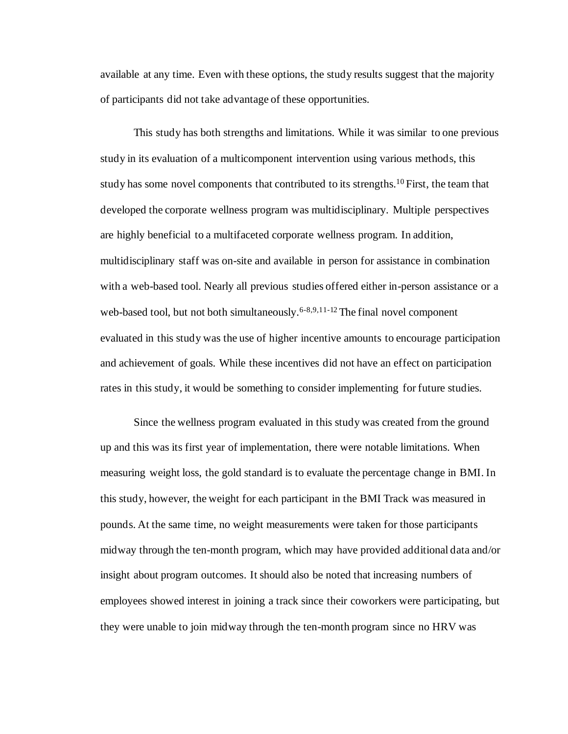available at any time. Even with these options, the study results suggest that the majority of participants did not take advantage of these opportunities.

This study has both strengths and limitations. While it was similar to one previous study in its evaluation of a multicomponent intervention using various methods, this study has some novel components that contributed to its strengths.<sup>10</sup> First, the team that developed the corporate wellness program was multidisciplinary. Multiple perspectives are highly beneficial to a multifaceted corporate wellness program. In addition, multidisciplinary staff was on-site and available in person for assistance in combination with a web-based tool. Nearly all previous studies offered either in-person assistance or a web-based tool, but not both simultaneously.<sup>6-8,9,11-12</sup> The final novel component evaluated in this study was the use of higher incentive amounts to encourage participation and achievement of goals. While these incentives did not have an effect on participation rates in this study, it would be something to consider implementing for future studies.

Since the wellness program evaluated in this study was created from the ground up and this was its first year of implementation, there were notable limitations. When measuring weight loss, the gold standard is to evaluate the percentage change in BMI. In this study, however, the weight for each participant in the BMI Track was measured in pounds. At the same time, no weight measurements were taken for those participants midway through the ten-month program, which may have provided additional data and/or insight about program outcomes. It should also be noted that increasing numbers of employees showed interest in joining a track since their coworkers were participating, but they were unable to join midway through the ten-month program since no HRV was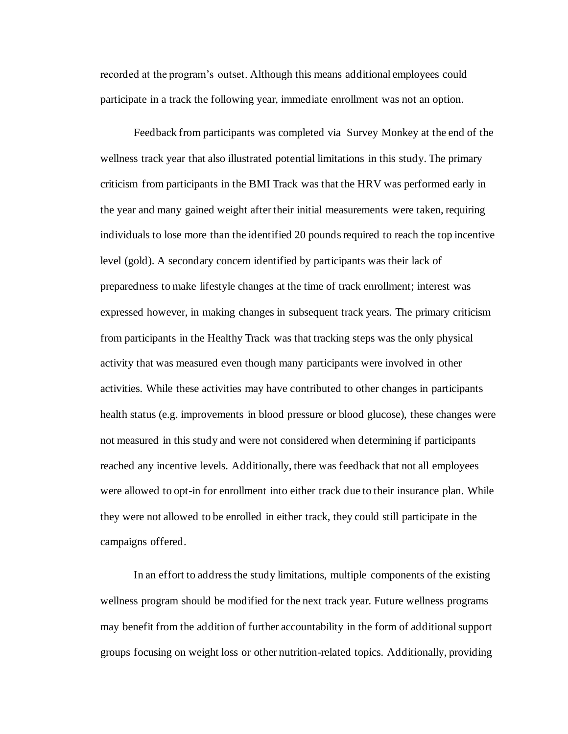recorded at the program's outset. Although this means additional employees could participate in a track the following year, immediate enrollment was not an option.

Feedback from participants was completed via Survey Monkey at the end of the wellness track year that also illustrated potential limitations in this study. The primary criticism from participants in the BMI Track was that the HRV was performed early in the year and many gained weight after their initial measurements were taken, requiring individuals to lose more than the identified 20 pounds required to reach the top incentive level (gold). A secondary concern identified by participants was their lack of preparedness to make lifestyle changes at the time of track enrollment; interest was expressed however, in making changes in subsequent track years. The primary criticism from participants in the Healthy Track was that tracking steps was the only physical activity that was measured even though many participants were involved in other activities. While these activities may have contributed to other changes in participants health status (e.g. improvements in blood pressure or blood glucose), these changes were not measured in this study and were not considered when determining if participants reached any incentive levels. Additionally, there was feedback that not all employees were allowed to opt-in for enrollment into either track due to their insurance plan. While they were not allowed to be enrolled in either track, they could still participate in the campaigns offered.

In an effort to address the study limitations, multiple components of the existing wellness program should be modified for the next track year. Future wellness programs may benefit from the addition of further accountability in the form of additional support groups focusing on weight loss or other nutrition-related topics. Additionally, providing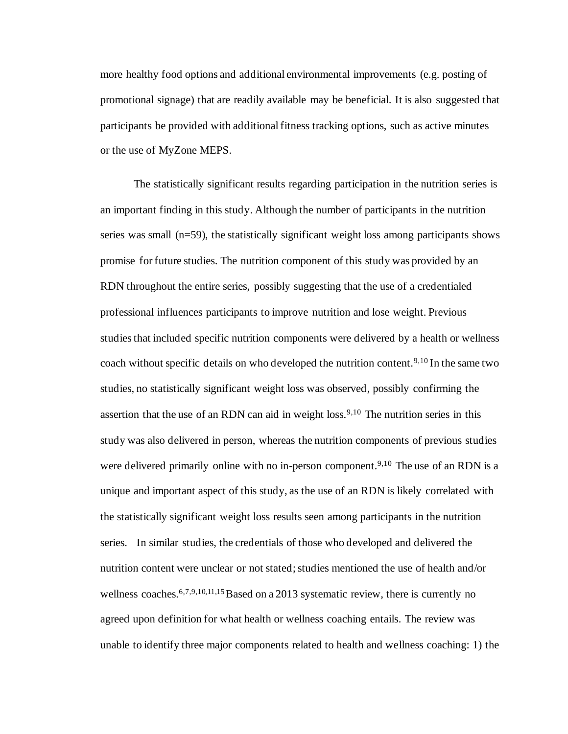more healthy food options and additional environmental improvements (e.g. posting of promotional signage) that are readily available may be beneficial. It is also suggested that participants be provided with additional fitness tracking options, such as active minutes or the use of MyZone MEPS.

The statistically significant results regarding participation in the nutrition series is an important finding in this study. Although the number of participants in the nutrition series was small (n=59), the statistically significant weight loss among participants shows promise for future studies. The nutrition component of this study was provided by an RDN throughout the entire series, possibly suggesting that the use of a credentialed professional influences participants to improve nutrition and lose weight. Previous studies that included specific nutrition components were delivered by a health or wellness coach without specific details on who developed the nutrition content.<sup>9,10</sup> In the same two studies, no statistically significant weight loss was observed, possibly confirming the assertion that the use of an RDN can aid in weight  $loss.^{9,10}$  The nutrition series in this study was also delivered in person, whereas the nutrition components of previous studies were delivered primarily online with no in-person component.<sup>9,10</sup> The use of an RDN is a unique and important aspect of this study, as the use of an RDN is likely correlated with the statistically significant weight loss results seen among participants in the nutrition series. In similar studies, the credentials of those who developed and delivered the nutrition content were unclear or not stated; studies mentioned the use of health and/or wellness coaches.<sup>6,7,9,10,11,15</sup> Based on a 2013 systematic review, there is currently no agreed upon definition for what health or wellness coaching entails. The review was unable to identify three major components related to health and wellness coaching: 1) the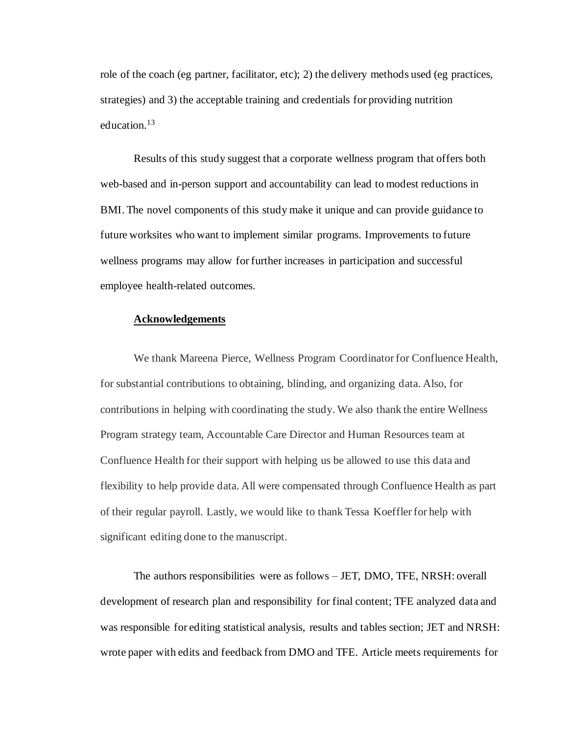role of the coach (eg partner, facilitator, etc); 2) the delivery methods used (eg practices, strategies) and 3) the acceptable training and credentials for providing nutrition education.<sup>13</sup>

Results of this study suggest that a corporate wellness program that offers both web-based and in-person support and accountability can lead to modest reductions in BMI. The novel components of this study make it unique and can provide guidance to future worksites who want to implement similar programs. Improvements to future wellness programs may allow for further increases in participation and successful employee health-related outcomes.

#### **Acknowledgements**

We thank Mareena Pierce, Wellness Program Coordinator for Confluence Health, for substantial contributions to obtaining, blinding, and organizing data. Also, for contributions in helping with coordinating the study. We also thank the entire Wellness Program strategy team, Accountable Care Director and Human Resources team at Confluence Health for their support with helping us be allowed to use this data and flexibility to help provide data. All were compensated through Confluence Health as part of their regular payroll. Lastly, we would like to thank Tessa Koeffler for help with significant editing done to the manuscript.

The authors responsibilities were as follows – JET, DMO, TFE, NRSH: overall development of research plan and responsibility for final content; TFE analyzed data and was responsible for editing statistical analysis, results and tables section; JET and NRSH: wrote paper with edits and feedback from DMO and TFE. Article meets requirements for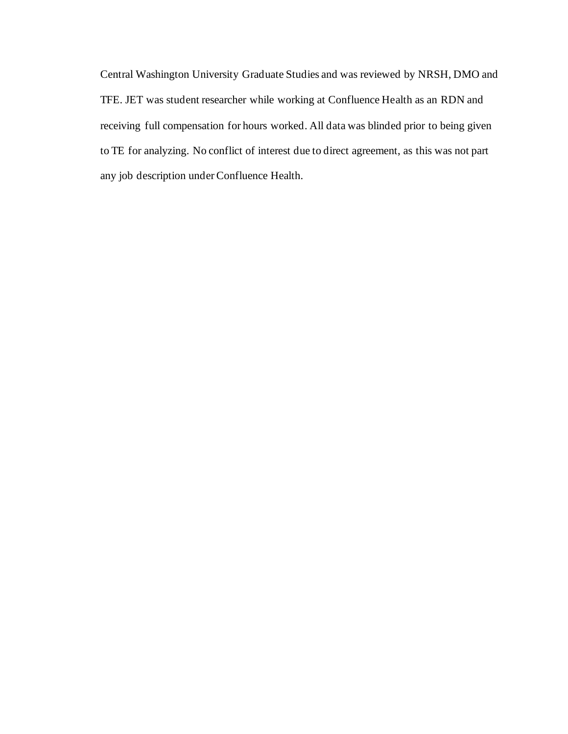Central Washington University Graduate Studies and was reviewed by NRSH, DMO and TFE. JET was student researcher while working at Confluence Health as an RDN and receiving full compensation for hours worked. All data was blinded prior to being given to TE for analyzing. No conflict of interest due to direct agreement, as this was not part any job description under Confluence Health.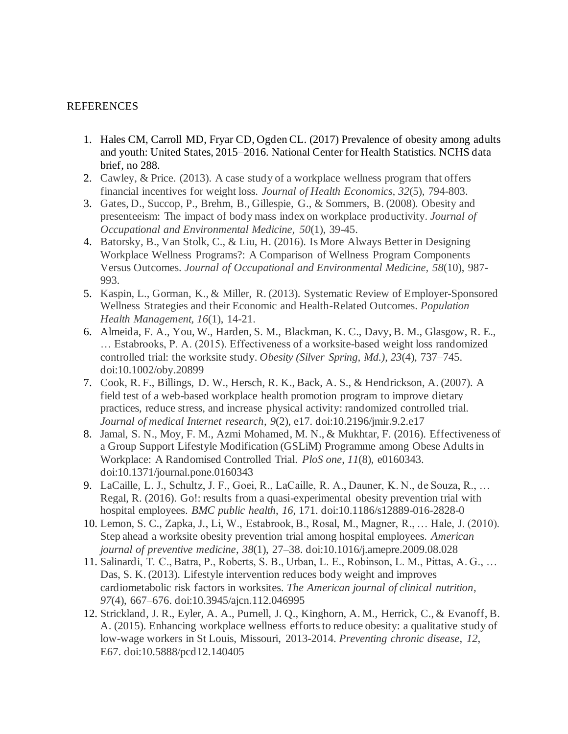## REFERENCES

- 1. Hales CM, Carroll MD, Fryar CD, Ogden CL. (2017) Prevalence of obesity among adults and youth: United States, 2015–2016. National Center for Health Statistics. NCHS data brief, no 288.
- 2. Cawley, & Price. (2013). A case study of a workplace wellness program that offers financial incentives for weight loss. *Journal of Health Economics, 32*(5), 794-803.
- 3. Gates, D., Succop, P., Brehm, B., Gillespie, G., & Sommers, B. (2008). Obesity and presenteeism: The impact of body mass index on workplace productivity. *Journal of Occupational and Environmental Medicine, 50*(1), 39-45.
- 4. Batorsky, B., Van Stolk, C., & Liu, H. (2016). Is More Always Better in Designing Workplace Wellness Programs?: A Comparison of Wellness Program Components Versus Outcomes. *Journal of Occupational and Environmental Medicine, 58*(10), 987- 993.
- 5. Kaspin, L., Gorman, K., & Miller, R. (2013). Systematic Review of Employer-Sponsored Wellness Strategies and their Economic and Health-Related Outcomes. *Population Health Management, 16*(1), 14-21.
- 6. Almeida, F. A., You, W., Harden, S. M., Blackman, K. C., Davy, B. M., Glasgow, R. E., … Estabrooks, P. A. (2015). Effectiveness of a worksite-based weight loss randomized controlled trial: the worksite study. *Obesity (Silver Spring, Md.)*, *23*(4), 737–745. doi:10.1002/oby.20899
- 7. Cook, R. F., Billings, D. W., Hersch, R. K., Back, A. S., & Hendrickson, A. (2007). A field test of a web-based workplace health promotion program to improve dietary practices, reduce stress, and increase physical activity: randomized controlled trial. *Journal of medical Internet research*, *9*(2), e17. doi:10.2196/jmir.9.2.e17
- 8. Jamal, S. N., Moy, F. M., Azmi Mohamed, M. N., & Mukhtar, F. (2016). Effectiveness of a Group Support Lifestyle Modification (GSLiM) Programme among Obese Adults in Workplace: A Randomised Controlled Trial. *PloS one*, *11*(8), e0160343. doi:10.1371/journal.pone.0160343
- 9. LaCaille, L. J., Schultz, J. F., Goei, R., LaCaille, R. A., Dauner, K. N., de Souza, R., … Regal, R. (2016). Go!: results from a quasi-experimental obesity prevention trial with hospital employees. *BMC public health*, *16*, 171. doi:10.1186/s12889-016-2828-0
- 10. Lemon, S. C., Zapka, J., Li, W., Estabrook, B., Rosal, M., Magner, R., … Hale, J. (2010). Step ahead a worksite obesity prevention trial among hospital employees. *American journal of preventive medicine*, *38*(1), 27–38. doi:10.1016/j.amepre.2009.08.028
- 11. Salinardi, T. C., Batra, P., Roberts, S. B., Urban, L. E., Robinson, L. M., Pittas, A. G., … Das, S. K. (2013). Lifestyle intervention reduces body weight and improves cardiometabolic risk factors in worksites. *The American journal of clinical nutrition*, *97*(4), 667–676. doi:10.3945/ajcn.112.046995
- 12. Strickland, J. R., Eyler, A. A., Purnell, J. Q., Kinghorn, A. M., Herrick, C., & Evanoff, B. A. (2015). Enhancing workplace wellness efforts to reduce obesity: a qualitative study of low-wage workers in St Louis, Missouri, 2013-2014. *Preventing chronic disease*, *12*, E67. doi:10.5888/pcd12.140405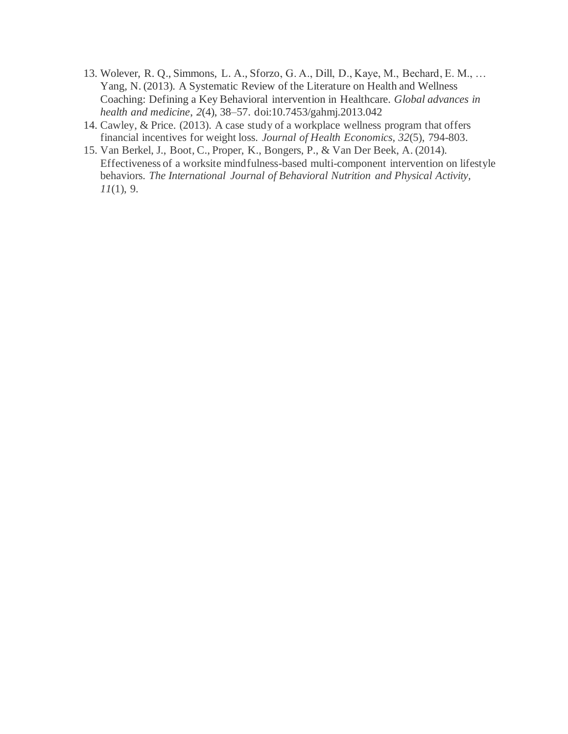- 13. Wolever, R. Q., Simmons, L. A., Sforzo, G. A., Dill, D., Kaye, M., Bechard, E. M., … Yang, N. (2013). A Systematic Review of the Literature on Health and Wellness Coaching: Defining a Key Behavioral intervention in Healthcare. *Global advances in health and medicine*, *2*(4), 38–57. doi:10.7453/gahmj.2013.042
- 14. Cawley, & Price. (2013). A case study of a workplace wellness program that offers financial incentives for weight loss. *Journal of Health Economics, 32*(5), 794-803.
- 15. Van Berkel, J., Boot, C., Proper, K., Bongers, P., & Van Der Beek, A. (2014). Effectiveness of a worksite mindfulness-based multi-component intervention on lifestyle behaviors. *The International Journal of Behavioral Nutrition and Physical Activity, 11*(1), 9.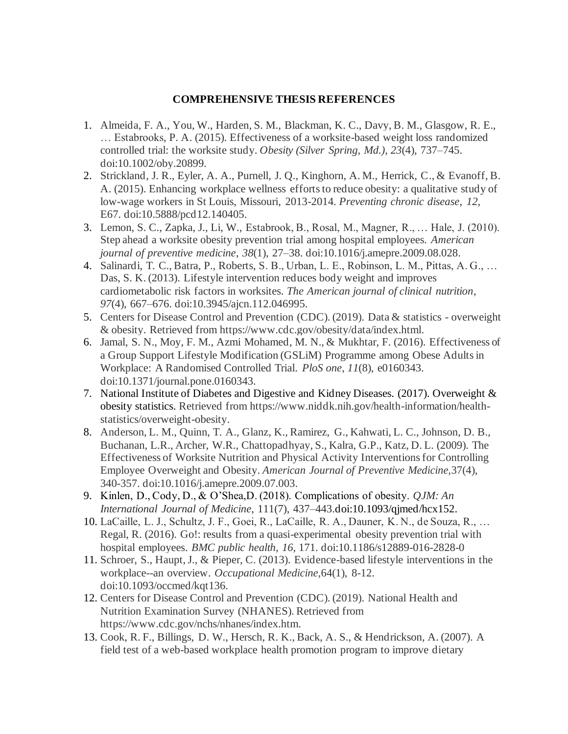## **COMPREHENSIVE THESIS REFERENCES**

- 1. Almeida, F. A., You, W., Harden, S. M., Blackman, K. C., Davy, B. M., Glasgow, R. E., … Estabrooks, P. A. (2015). Effectiveness of a worksite-based weight loss randomized controlled trial: the worksite study. *Obesity (Silver Spring, Md.)*, *23*(4), 737–745. doi:10.1002/oby.20899.
- 2. Strickland, J. R., Eyler, A. A., Purnell, J. Q., Kinghorn, A. M., Herrick, C., & Evanoff, B. A. (2015). Enhancing workplace wellness efforts to reduce obesity: a qualitative study of low-wage workers in St Louis, Missouri, 2013-2014. *Preventing chronic disease*, *12*, E67. doi:10.5888/pcd12.140405.
- 3. Lemon, S. C., Zapka, J., Li, W., Estabrook, B., Rosal, M., Magner, R., … Hale, J. (2010). Step ahead a worksite obesity prevention trial among hospital employees. *American journal of preventive medicine*, *38*(1), 27–38. doi:10.1016/j.amepre.2009.08.028.
- 4. Salinardi, T. C., Batra, P., Roberts, S. B., Urban, L. E., Robinson, L. M., Pittas, A. G., … Das, S. K. (2013). Lifestyle intervention reduces body weight and improves cardiometabolic risk factors in worksites. *The American journal of clinical nutrition*, *97*(4), 667–676. doi:10.3945/ajcn.112.046995.
- 5. Centers for Disease Control and Prevention (CDC). (2019). Data & statistics overweight & obesity. Retrieved from https://www.cdc.gov/obesity/data/index.html.
- 6. Jamal, S. N., Moy, F. M., Azmi Mohamed, M. N., & Mukhtar, F. (2016). Effectiveness of a Group Support Lifestyle Modification (GSLiM) Programme among Obese Adults in Workplace: A Randomised Controlled Trial. *PloS one*, *11*(8), e0160343. doi:10.1371/journal.pone.0160343.
- 7. National Institute of Diabetes and Digestive and Kidney Diseases. (2017). Overweight & obesity statistics. Retrieved from https://www.niddk.nih.gov/health-information/healthstatistics/overweight-obesity.
- 8. Anderson, L. M., Quinn, T. A., Glanz, K., Ramirez, G., Kahwati, L. C., Johnson, D. B., Buchanan, L.R., Archer, W.R., Chattopadhyay, S., Kalra, G.P., Katz, D. L. (2009). The Effectiveness of Worksite Nutrition and Physical Activity Interventions for Controlling Employee Overweight and Obesity. *American Journal of Preventive Medicine,*37(4), 340-357. doi:10.1016/j.amepre.2009.07.003.
- 9. Kinlen, D., Cody, D., & O'Shea,D. (2018). Complications of obesity. *QJM: An International Journal of Medicine*, 111(7), 437–443.doi:10.1093/qjmed/hcx152.
- 10. LaCaille, L. J., Schultz, J. F., Goei, R., LaCaille, R. A., Dauner, K. N., de Souza, R., … Regal, R. (2016). Go!: results from a quasi-experimental obesity prevention trial with hospital employees. *BMC public health*, *16*, 171. doi:10.1186/s12889-016-2828-0
- 11. Schroer, S., Haupt, J., & Pieper, C. (2013). Evidence-based lifestyle interventions in the workplace--an overview. *Occupational Medicine,*64(1), 8-12. doi:10.1093/occmed/kqt136.
- 12. Centers for Disease Control and Prevention (CDC). (2019). National Health and Nutrition Examination Survey (NHANES). Retrieved from https://www.cdc.gov/nchs/nhanes/index.htm.
- 13. Cook, R. F., Billings, D. W., Hersch, R. K., Back, A. S., & Hendrickson, A. (2007). A field test of a web-based workplace health promotion program to improve dietary